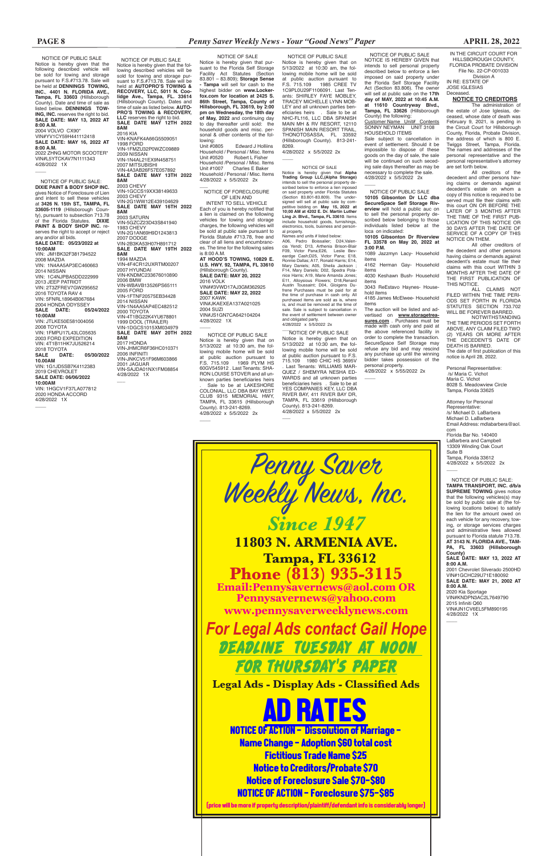NOTICE OF PUBLIC SALE Notice is hereby given that the following described vehicle will be sold for towing and storage pursuant to F.S.#713.78. Sale will be held at **DENNINGS TOWING, INC.**, **4401 N. FLORIDA AVE., Tampa, FL 33603** (Hillsborough County). Date and time of sale as listed below. **DENNINGS TOW-ING. INC.** reserves the right to bid. **SALE DATE: MAY 13, 2022 AT 8:00 A.M.** 2004 VOLVO CX90\* VIN#YV1CY59H441112418 **SALE DATE: MAY 16, 2022 AT 8:00 A.M.** 2022 ZHNG MOTOR SCOOTER\* VIN#L5YTCKAV7N1111343 4/28/2022 1X  $\overline{\phantom{a}}$ 

 NOTICE OF PUBLIC SALE: **DIXIE PAINT & BODY SHOP INC.**  gives Notice of Foreclosure of Lien and intent to sell these vehicles at **3426 N. 15th ST., TAMPA, FL 33605-1119** (Hillsborough County), pursuant to subsection 713.78 of the Florida Statutes. **DIXIE PAINT & BODY SHOP INC.** reserves the right to accept or reject any and/or all bids. **SALE DATE: 05/23/2022 at 10:00AM** VIN: JM1BK32F381794522 2008 MAZDA VIN: 1N4AA5AP3EC460663 2014 NISSAN VIN: 1C4NJPBA5DD222999 2013 JEEP PATRIOT VIN: 2T3ZFREV7GW295652 2016 TOYOTA RAV 4 VIN: 5FNRL18964B067684 2004 HONDA ODYSSEY<br>**SALE DATE:** 05/24/2022 SALE DATE: **10:00AM** VIN: JTLKE50E581004056 2008 TOYOTA VIN: 1 FMPH17L43LC05635 2003 FORD EXPEDITION VIN: 4T1B11HK7JU526214 2018 TOYOTA **SALE DATE: 05/30/2022 10.00AM** VIN: 1G1JD5SB7K4112383 2019 CHEVROLET **SALE DATE: 06/06/2022 10:00AM** VIN: 1HGCV1F37LA077812 2020 HONDA ACCORD 4/28/2022 1X

 $\overline{\phantom{a}}$ 

lowing:<br>Unit #0805 Edward J Holliins Household / Personal / Misc. Items<br>Unit #0520 Robert L Fisher Robert L Fisher Household /Personal / Misc. Items<br>Unit #1007 Charles E Baker Charles E Baker Household / Personal / Misc. Items 4/28/2022 x 5/5/2022 2x

Customer Name Unit# Contents SONNY NEYMAN UNIT 3108 HOUSEHOLD ITEMS

Sale subject to cancellation in event of settlement. Should it be impossible to dispose of these goods on the day of sale, the sale will be continued on such seceding sale days thereafter as may be necessary to complete the sale. 4/28/2022 x 5/5/2022 2x  $\overline{\phantom{a}}$ 

 NOTICE OF SALE Notice is hereby given that pursuant to the Florida Self Storage Facility Act Statutes (Section 83.801 – 83.809); **Storage Sense - Tampa** will sell for cash to the highest bidder on **www.Lockerfox.com for location at 2425 S. 86th Street, Tampa, County of Hillsborough, FL 33619, by 2:00 pm on Wednesday, the 18th day of May, 2022** and continuing day to day thereafter until sold: the household goods and misc. personal & other contents of the fol-

> items The auction will be listed and advertised on **www.storagetrea**sures.com . Purchases must be

 NOTICE OF PUBLIC SALE Notice is hereby given that the following described vehicles will be sold for towing and storage pur-suant to F.S.#713.78. Sale will be held at **AUTOPRO'S TOWING & RECOVERY, LLC, 5011 N. Coo-lidge Ave., Tampa, FL. 33614** (Hillsborough County). Dates and time of sale as listed below. **AUTO-PRO'S TOWING & RECOVERY, LLC** reserves the right to bid. **SALE DATE MAY 12TH 2022 8AM** 2016 KIA VIN-KNAFK4A66G5509051 1998 FORD VIN-1FMZU32P0WZC09889 2009 NISSAN<br>VIN-1N4AL21EX9N458751 2007 MITSUBISHI VIN-4A3AB26F57E057892 **SALE DATE MAY 13TH 2022 8AM** 2003 CHEVY VIN-1GCCS19XX38149633 2003 CHEVY VIN-2G1WW12E439104629 **SALE DATE MAY 16TH 2022 8AM** 2003 SATURN VIN-5GZCZ23D43S841940 1983 CHEVY VIN-2G1AN69H9D1243813 2007 DODGE VIN-2B3KA53H07H891712 **SALE DATE MAY 19TH 2022 8AM** 1994 MAZDA VIN-4F4CR12UXRTM00207 2007 HYUNDAI VIN-KNDMC233676010890 2006 BMW VIN-WBAVB13526PS65111 2005 FORD VIN-1FTNF20575EB34428 2014 NISSAN VIN-1N4AA5AP4EC482512 2000 TOYOTA VIN-4T1BG22K4YU678801 1999 DOOL (TRAILER) VIN-1DGCS1015XM034979 **SALE DATE MAY 20TH 2022 8AM** 2017 HONDA VIN-JHMCR6F36HC010371 2006 INFINITI VIN-JNKCV51F96M603866 2001 JAGUAR VIN-SAJDA01NX1FM08854 4/28/2022 1X  $\overline{\phantom{a}}$ 

> NOTICE OF PUBLIC SALE: **TAMPA TRANSPORT, INC. d/b/a SUPREME TOWING** gives notice that the following vehicles(s) may be sold by public sale at (the following locations below) to satisfy the lien for the amount owed on each vehicle for any recovery, towing, or storage services charges and administrative fees allowed pursuant to Florida statute 713.78. **AT 3143 N. FLORIDA AVE., TAM-PA, FL 33603 (Hillsborough County) SALE DATE: MAY 13, 2022 AT 8:00 A.M.** 2001 Chevrolet Silverado 2500HD VIN#1GCHC29U71E180092 **SALE DATE: MAY 21, 2002 AT 8:00 A.M.** 2020 Kia Sportage VIN#KNDPN3AC2L7649790 2015 Infiniti Q60 VIN#JN1CV6EL5FM890195 4/28/2022 1X

 $\overline{\phantom{a}}$ 

 NOTICE OF PUBLIC SALE NOTICE IS HEREBY GIVEN that intends to sell personal property described below to enforce a lien imposed on said property under the Florida Self Storage Facility Act (Section 83.806). The owner will sell at public sale on the **17th day of MAY, 2022 at 10:45 A.M. at 11610 Countryway Blvd., Tampa, FL 33626** (Hillsborough County) the following:

 NOTICE OF PUBLIC SALE \_\_\_\_ Notice is hereby given that on 5/13/2022 at 10:30 am, the following mobile home will be sold at public auction pursuant to F.S. 715.109 1980 CHIC HS 3695V Last Tenants: WILLIAMS MAR-QUEZ / SHEMYRA NESHA ED-WARDS and all unknown parties beneficiaries heirs . Sale to be at YES COMPANIES KEY, LLC DBA RIVER BAY, 411 RIVER BAY DR, TAMPA, FL 33619 (Hillsborough County). 813-241-8269. 4/28/2022 x 5/5/2022 2x  $\overline{\phantom{a}}$ 

 NOTICE OF PUBLIC SALE **10105 Gibsonton Dr LLC dba SecureSpace Self Storage Riverview** will hold a public auc on to sell the personal property described below belonging to those individuals listed below at the loca on indicated: **10105 Gibsonton Dr Riverview** 

**FL 33578 on May 20, 2022 at 3:00 P.M.**

1089 Jazzmyn Lacy- Household items 4162 Herman Gay- Household

items 4030 Keshawn Bush- Household

items 3043 ReEstavo Haynes- House-

hold items 4185 James McElwee- Household

 $\overline{\phantom{a}}$ NOTICE OF FORECLOSURE OF LIEN AND

> made with cash only and paid at the above referenced facility in order to complete the transaction. SecureSpace Self Storage may refuse any bid and may rescind any purchase up until the winning bidder takes possession of the personal property.

4/28/2022 x 5/55/2022 2x

 $\overline{\phantom{a}}$ 

Division A IN RE: ESTATE OF JOSE IGLESIAS **Deceased** 

Florida Bar No. 140400 LaBarbera and Campbell 13309 Winding Oak Court Suite B Tampa, Florida 33612<br>4/28/2022 x 5/5/2022 2x

 NOTICE OF PUBLIC SALE Notice is hereby given that on 5/13/2022 at 10:30 am, the following mobile home will be sold at public auction pursuant to F.S. 715.109 1969 PLYM HS 60GV545912 . Last Tenants: SHA-RON LOUISE STOVER and all unknown parties beneficiaries heirs . Sale to be at LAKESHORE COLONIAL, LLC DBA BAY WEST CLUB 9315 MEMORIAL HWY, TAMPA, FL 33615 (Hillsborough County). 813-241-8269. 4/28/2022 x 5/5/2022 2x

 $\overline{\phantom{a}}$ 

 $\overline{\phantom{a}}$ 

 NOTICE OF PUBLIC SALE Notice is hereby given that on 5/13/2022 at 10:30 am, the following mobile home will be sold at public auction pursuant to F.S. 715.109 1985 CREE TV 1C9PL0U29F1106091. Last Tenants: SHIRLEY FAYE MORLEY TRACEY MICHELLE LYNN MOB-LEY and all unknown parties beneficiaries heirs . Sale to be at NHC-FL116, LLC DBA SPANISH MAIN MH & RV RESORT, 12110 SPANISH MAIN RESORT TRAIL, THONOTOSASSA, FL 33592 (Hillsborough County). 813-241- 8269.

4/28/2022 x 5/5/2022 2x

 $\overline{\phantom{a}}$ 

NOTICE OF SALE Notice is hereby given that **Alpha Trading Group LLC,(Alpha Storage)**  intends to sell the personal property de-scribed below to enforce a lien inposed on said property under Florida Statutes (Section 83.801-83.809). The under-signed will sell at public sale by competitive bidding on **May 15, 2022 at 10;00 AM at 4202 E. Dr. Martin Luther Ling Jr. Blvd., Tampa, FL 33610**. Items include household goods, furnishings, electronics, tools, business and personal property.

Names and units # listed below: A06, Pedro Boissalier; D24,Valen-cia Yendi; D13, Arthenia Brison-Blair F09, Victor Pana;E26, Leslie Bev-eardge Cash;D25, Victor Pana; E18, Ronnie Dallas; A17, Ronald Harris; E14, Mary Daniels; A05, Sheila Jackson ; F14, Mary Daniels; D02, Spedra Pola-nice Harris; A19, Marie Amanda Jones; E11, Alloysious Flowers; D18,Renard Austin Toussaint; D04, Gloigens Du-frene Purchases must be paid for at the time of purchase in cash only. All purchased items are sold as is, where is, and must be removed at the time of sale. Sale is subject to cancellation in the event of settlement between owner and obligated party. 4/28/2022 x 5/5/2022 2x

INTENT TO SELL VEHICLE Each of you is hereby notified that a lien is claimed on the following vehicles for towing and storage charges, the following vehicles will be sold at public sale pursuant to Florida Statute #713.78, free and clear of all liens and encumbrances. The time for the following sales is 8:00 A.M. **AT HOOD'S TOWING, 10829 E. U.S. HWY. 92, TAMPA, FL 33610**  (Hillsborough County). **SALE DATE: MAY 20, 2022** 2016 VOLK VIN##3VWD17AJ3GM362925 **SALE DATE: MAY 22, 2022** 2007 KAWK VIN#JKAEXEA137A021025 2004 SUZI VIN#JS1GN7CA642104204 4/28/2022 1X

IN THE CIRCUIT COURT FOR HILLSBOROUGH COUNTY, FLORIDA PROBATE DIVISION File No. 22-CP-001033

### **NOTICE TO CREDITORS**

The administration of the estate of Jose Iglesias, deceased, whose date of death was February 9, 2021, is pending in the Circuit Court for Hillsborough County, Florida, Probate Division, the address of which is 800 E. Twiggs Street, Tampa, Florida. The names and addresses of the personal representative and the personal representative's attorney are set forth below.

All creditors of the decedent and other persons having claims or demands against decedent's estate on whom a copy of this notice is required to be served must file their claims with this court ON OR BEFORE THE LATER OF 3 MONTHS AFTER THE TIME OF THE FIRST PUB-LICATION OF THIS NOTICE OR 30 DAYS AFTER THE DATE OF SERVICE OF A COPY OF THIS NOTICE ON THEM.

All other creditors of the decedent and other persons having claims or demands against decedent's estate must file their claims with this court WITHIN 3 MONTHS AFTER THE DATE OF THE FIRST PUBLICATION OF THIS NOTICE.

ALL CLAIMS NOT FILED WITHIN THE TIME PERI-ODS SET FORTH IN FLORIDA STATUTES SECTION 733.702 WILL BE FOREVER BARRED.

NOTWITHSTANDING THE TIME PERIODS SET FORTH ABOVE, ANY CLAIM FILED TWO (2) YEARS OR MORE AFTER THE DECEDENT'S DATE OF DEATH IS BARRED. The date of first publication of this notice is April 28, 2022.

Personal Representative: /s/ Maria C. Vichot Maria C. Vichot 8028 S. Meadowview Circle Tampa, Florida 33625

Attorney for Personal Representative: /s/ Michael D. LaBarbera Michael D. LaBarbera Email Address: mdlabarbera@aol. com



*For Legal Ads contact Gail Hope* DEADLINE TUESDAY AT NOON FOR THURSDAY'S PAPER **Legal Ads - Display Ads - Classified Ads** AD RATES NOTICE OF ACTION - Dissolution of Marriage - Name Change - Adoption \$60 total cost Fictitious Trade Name \$25 Notice to Creditors/Probate \$70

Notice of Foreclosure Sale \$70-\$80 NOTICE OF ACTION - Foreclosure \$75-\$85

(price will be more if property description/plaintiff/defendant info is considerably longer)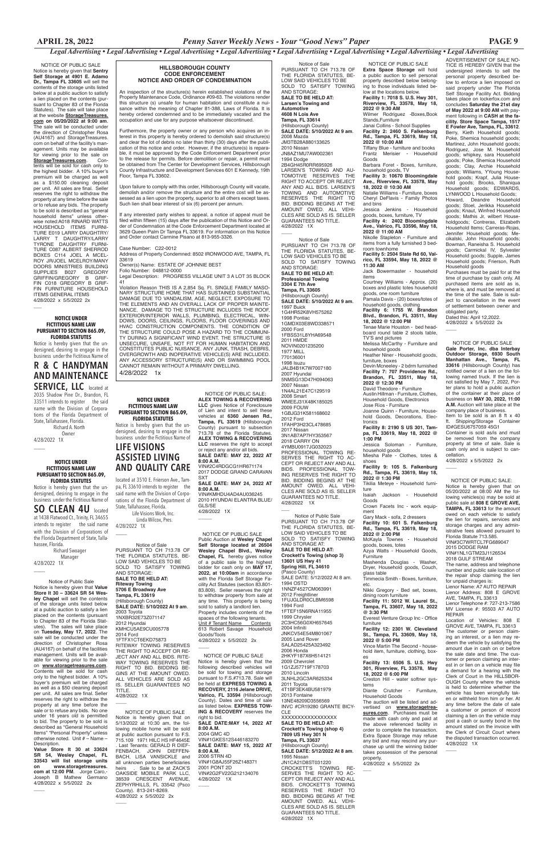ADVERTISEMENT OF SALE NO-TICE IS HEREBY GIVEN that the undersigned intends to sell the

personal property described below to enforce a lien imposed on said property under The Florida Self Storage Facility Act. Bidding takes place on lockerfox.com and concludes **Saturday the 21st day of May 2022 at 9:00 AM** with payment following in **CASH at the facility. Store Space Tampa, 1517 E Fowler Ave, Tampa, FL, 33612**. Berry, Kieth Household goods; Poke, Shemica household goods; Martinez, John Household goods; Rodriguez, Jose M. Household goods; whipkey, sara Household goods; Poke, Shemica Household goods; Clay, Archie Household goods; Williams, YYoung Household goods; Krapf, Julia Household goods; Brooks, Shaniqua Household goods; EDWARDS, LYNWOOD L Household Goods; Howard, Deandre Household goods; Stoel, Jerikka Household goods; Knaut, Winfred Household goods; Mathis Jr, wilbert Householdgoods; Contreras, Elizabeth Household Items; Carreras-Rojas, Jennifer Household goods; Mecikalski, John Household goods; Bowman, Raneisha S. Household goods; Carmickal IV, Sylvester Household goods; Supple, James Household goods; Frierson, Ruth Household goods Purchases must be paid for at the time of purchase by cash only. All purchased items are sold as is, where is, and must be removed at

the time of the sale. Sale is subject to cancellation in the event of settlement between owner and obligated party. Dated this: April 12,2022.

**Brandon, FL 33511, May 18, 2022 @ 12:30 PM** David Theodore - Furniture

4/28/2022 x 5/5/2022 2x

 $\overline{\phantom{a}}$ 

**Facility 9: 105 S. Falkenburg Rd., Tampa, FL 33619, May 18, 2022 @ 1:30 PM** Tikilia Meteye - Household furniture<br>Isaiah

Jackson - Household Goods Crown Facets Inc - work equip-

 NOTICE OF PUBLIC SALE **Extra Space Storage** will hold a public auction to sell personal property described below belonging to those individuals listed below at the locations below. **Facility 1: 7018 S. U.S. Hwy 301, Riverview, FL 33578, May 18, 2022 @ 9:30 AM** Wilmer Rodriguez -Boxes,Book Stands,Furniture Janai Collins - School Supplies **Facility 2: 2460 S. Falkenburg Rd., Tampa, FL 33619, May 18, 2022 @ 10:00 AM** Tiffany Blue - furniture and books Frantz Merisier - Household Goods Barbara Foret - Boxes, furniture, household goods, TV **Facility 3: 10670 Bloomingdale Ave., Riverview, FL 33578, May 18, 2022 @ 10:30 AM** Natalie Williams - Furniture, boxes Cheryl DeFlavis - Family Photos and bins Jessica Jenkins - Household goods, boxes, furniture, TV **Facility 4: 2402 Bloomingdale Ave., Valrico, FL 33596, May 18, 2022 @ 11:00 AM** Nikolle Stapleton - Furniture and items from a fully furnished 3 bed-

Creston Hill - water softner systems<br>Diante

Crutcher - Furniture, Household Goods

company place of business. Item to be sold is an 8 ft x 40 Shipping/Storage Container

room townhome **Facility 5: 2504 State Rd 60, Valrico, FL 33594, May 18, 2022 @ 11:30 AM** Jack Bowermaster - household

> 4/28/2022 x 5/5/2022 2x  $\overline{\phantom{a}}$

items Courtney Williams - Approx. (20) boxes and plastic totes household goods, one room furniture Pamala Davis - (20) boxes/totes of household goods, clothing **Facility 6: 1755 W. Brandon** 

**Blvd., Brandon, FL 33511, May 18, 2022 @ 12:00 PM** Tenae Marie Houston - bed headboard round table 2 stools table, TV'S and pictures Melissa McCarthy - Furniture and household goods

Heather Niner - Household goods, furniture, boxes Devin Mcneeley - 2 bdrm furnished **Facility 7: 707 Providence Rd.,** 

Upon failure to comply with this order, Hillsborough County will vacate, demolish and/or remove the structure and the entire cost will be assessed as a lien upon the property, superior to all others except taxes. Such lien shall bear interest of six (6) percent per annum.

> Austin Hillman - Furniture, Clothes, Household Goods, Electronics Jose Ríos - Furniture

Joanne Quinn - Furniture, Household Goods, Decorations, Electronics

**Facility 8: 2190 S US 301, Tampa, FL 33619, May 18, 2022 @ 1:00 PM**

Jessica Soloman - Furniture, household goods

Miesha Pate - Clothes, totes & shoes

ment

Gary Mack - sofa, 2 dressers **Facility 10: 601 S. Falkenburg Rd., Tampa, FL 33619, May 18, 2022 @ 2:00 PM** McKayla Townes - Household goods, boxes, totes Azya Watts - Household Goods, Furniture Mashenda Douglas - Washer, Dryer, Household goods, Couch, glass table

Timmecia Smith - Boxes, furniture, etc.

Nikki Gregory - Bed set, boxes, dining room furniture

**Facility 11: 5012 W. Laurel St., Tampa, FL 33607, May 18, 2022** 

**@ 3:30 PM** Everest Venture Group Inc - Office furniture

**Facility 12: 2301 W. Clev** 

### **St., Tampa, FL 33609, May 18, 2022 @ 5:00 PM**

Vince Martin The Second - household item, furniture, clothing, box-

es **Facility 13: 6506 S. U.S. Hwy 301, Riverview, FL 33578, May 18, 2022 @ 6:00 PM**

The auction will be listed and advertised on **www.storagetreasures.com**. Purchases must be made with cash only and paid at the above referenced facility in order to complete the transaction. Extra Space Storage may refuse any bid and may rescind any purchase up until the winning bidder takes possession of the personal property. 4/28/2022 x 5/5/2022 2x

 $\overline{\phantom{a}}$ 

 NOTICE OF PUBLIC SALE **Gale Porter, Inc. dba Interbay Outdoor Storage, 6930 South Manhattan Ave., Tampa, FL 33616** (Hillsborough County) has notified owner of a lien on the following named truck. If the lien is not satisfied by May 7, 2022, Porter plans to hold a public auction of the container at their place of business on **MAY 30, 2022, 11:00 A.M.** Auction will take place at the

ID#GESU6757059 45G1 Container is sold as/is and must be removed from the company property at time of sale. Sale is cash only and is subject to cancellation.

#### **HILLSBOROUGH COUNTY CODE ENFORCEMENT NOTICE AND ORDER OF CONDEMNATION**

4/28/2022 1X  $\overline{\phantom{a}}$ 

An inspection of the structure(s) herein established violations of the Property Maintenance Code, Ordinance #09-63. The violations render this structure (s) unsafe for human habitation and constitute a nuisance within the meaning of Chapter 81-388, Laws of Florida. It is hereby ordered condemned and to be immediately vacated and the occupation and use for any purpose whatsoever discontinued.

Furthermore, the property owner or any person who acquires an interest in this property is hereby ordered to demolish said structure(s) and clear the lot of debris no later than thirty (30) days after the publication of this notice and order. However, if the structure(s) is reparable, it must be approved by the Code Enforcement Department prior to the release for permits. Before demolition or repair, a permit must be obtained from The Center for Development Services, Hillsborough County Infrastructure and Development Services 601 E Kennedy, 19th Floor, Tampa FL 33602.

 Owner 4/28/2022 1X  $\overline{\phantom{a}}$ 

 Manager 4/28/2022 1X  $\overline{\phantom{a}}$ 

If any interested party wishes to appeal, a notice of appeal must be filed within fifteen (15) days after the publication of this Notice and Order of Condemnation at the Code Enforcement Department located at 3629 Queen Palm Dr Tampa FL 33619. For information on this Notice and Order contact Carmine Pisano at 813-955-3326.

Case Number: C22-0012

Address of Property Condemned: 8502 IRONWOOD AVE, TAMPA, FL 33619

Owner(s) Name: ESTATE OF JOHNNIE BEST

Folio Number: 048812-0000 Legal Description: PROGRESS VILLAGE UNIT 3 A LOT 35 BLOCK

41 Violation Reason THIS IS A 2,854 Sq. Ft. SINGLE FAMILY MASO-NARY STRUCTURE HOME THAT HAS SUSTAINED SUBSTANTIAL DAMAGE DUE TO VANDALISM, AGE, NEGLECT, EXPOSURE TO THE ELEMENTS AND AN OVERALL LACK OF PROPER MAINTE-NANCE. DAMAGE TO THE STRUCTURE INCLUDES THE ROOF EXTERIOR/INTERIOR WALLS, PLUMBING, ELECTRICAL, WIN-DOWS, DOORS, CEILINGS, FLOORS, FLOOR COVERINGS AND HVAC CONSTRUCTION COMPONENTS. THE CONDITION OF THE STRUCTURE COULD POSE A HAZARD TO THE COMMUNI-TY DURING A SIGNIFICANT WIND EVENT. THE STRUCTURE IS UNSECURE, UNSAFE, NOT FIT FOR HUMAN HABITATION AND CONSTITUTES PUBLIC NUISANCE. ANY JUNK, TRASH, DEBRIS, OVERGROWTH AND INOPERATIVE VEHICLE(S) ARE INCLUDED. ANY ACCESSORY STRUCTURE(S) AND OR SWIMMING POOL CANNOT REMAIN WITHOUT A PRIMARY DWELLING.

4/28/2022 1X  $\overline{\phantom{a}}$ 

 $\overline{\phantom{a}}$ 

 Notice of Sale PURSUANT TO CH 713.78 OF THE FLORIDA STATUTES, BE-LOW SAID VEHICLES TO BE SOLD TO SATISFY TOWING AND STORAGE: **SALE TO BE HELD AT: Larsen's Towing and Automotive 4608 N Lois Ave Tampa, FL 33614** (Hillsborough County) **SALE DATE: 5/10/2022 At 9 am**. 2008 Mazda JM3TB28A880133625 2010 Nissan JN8AZ1MU7AW002361 1994 Dodge 2B4GH45R0RR695926 LARSEN'S TOWING AND AU-TOMOTIVE RESERVES THE RIGHT TO ACCEPT OR REJECT ANY AND ALL BIDS. LARSEN'S TOWING AND AUTOMOTIVE RESERVES THE RIGHT TO BID. BIDDING BEGINS AT THE AMOUNT OWED. ALL VEHI-CLES ARE SOLD AS IS. SELLER GUARANTEES NO TITLE. 4/28/2022 1X  $\overline{\phantom{a}}$ 

4/28/2022 1x

 Notice of Sale PURSUANT TO CH 713.78 OF THE FLORIDA STATUTES, BE-LOW SAID VEHICLES TO BE SOLD TO SATISFY TOWING AND STORAGE: **SALE TO BE HELD AT: Professional Towing 3304 E 7th Ave Tampa, FL 33605** (Hillsborough County) **SALE DATE: 5/10/2022 At 9 am**. 1997 Buick 1G4HR52K8VH575262 1998 Pontiac 1GMDX03E8WD338571 2000 Ford 1FBSS31L8YHA69548 2011 HMDE NOVIN0201235200 1977 MILL 770136001 1998 Isuzu JALB4B1K7W7007180 2007 Hyundai 5NMSG13D47H094063 2007 Nissan 1N4AL21E47C129519 2008 Smart WMEEJ31X48K185025 2009 FOUW 1GBJG31K581168602 2012 Ford 1FAHP3H23CL478685 2017 Nissan 3N1AB7AP7HY353567 2018 CARRY ON 4YMBU0917JG032023 PROFESSIONAL TOWING RE-SERVES THE RIGHT TO AC-CEPT OR REJECT ANY AND ALL BIDS. PROFESSIONAL TOW-ING RESERVES THE RIGHT TO BID. BIDDING BEGINS AT THE AMOUNT OWED. ALL VEHI-CLES ARE SOLD AS IS. SELLER GUARANTEES NO TITLE. 4/28/2022 1X  $\overline{\phantom{a}}$ 

#### NOTICE OF PUBLIC SALE:

Notice is hereby given that on 05/20/2022 at 08:00 AM the following vehicles(s) may be sold at public sale at **808 E GROVE AVE, TAMPA, FL 33613** for the amount owed on each vehicle to satisfy the lien for repairs, services and storage charges and any administrative fees allowed pursuant to Florida Statute 713.585. VIN#3C7WRTCL7FG689047 2015 DODGE RAM VIN#1NL1GTM23J1126534 2018 GULF STREAM The name, address and telephone number and public sale location of the repair shop claiming the lien for unpaid charges is: Lienor Name: A7 AUTO REPAIR Lienor Address: 808 E GROVE AVE, TAMPA, FL 33613 Lienor Telephone #: 727-213-7586 MV License #: 95503 A7 AUTO REPAIR

Location of Vehicles: 808 E GROVE AVE, TAMPA, FL 33613

The customer or person claiming an interest, or a lien may redeem the vehicle by satisfying the amount due in cash on or before the sale date and time. The customer or person claiming an interest in or lien on a vehicle may file a demand for a hearing with the Clerk of Court in the HILLSBOR-OUGH County where the vehicle is held to determine whether the vehicle has been wrongfully taken or withheld from him or her. At any time before the date of sale a customer or person of record claiming a lien on the vehicle may post a cash or surety bond in the amount stated on the invoice with the Clerk of Circuit Court where the disputed transaction occurred. 4/28/2022 1X

 $\overline{\phantom{a}}$ 

 NOTICE OF PUBLIC SALE: **ALEX TOWING & RECOVERING LLC** gives Notice of Foreclosure of Lien and intent to sell these vehicles at **6360 Jensen Rd., Tampa, FL 33619** (Hillsborough County) pursuant to subsection 713.78 of the Florida Statutes. **ALEX TOWING & RECOVERING LLC** reserves the right to accept or reject any and/or all bids. **SALE DATE: MAY 22, 2022 AT** 

**8:00 A.M.** VIN#2C4RDGCG1HR671174 2017 DODGE GRAND CARAVAN

SXT **SALE DATE: MAY 24, 2022 AT 8:00 A.M.**

VIN#KMHDU4AD4AU036245 2010 HYUNDAI ELANTRA BLUE/ GLS/SE 4/28/2022 1X

 $\overline{\phantom{a}}$ 

 $\overline{\phantom{a}}$ 

 NOTICE OF PUBLIC SALE Public Auction at **Wesley Chapel Self Storage located at 26504 Wesley Chapel Blvd., Wesley Chapel, FL** hereby gives notice of a public sale to the highest bidder for cash only on **MAY 17, 2022, at 10:00am** in accordance with the Florida Self Storage Facility Act Statutes (section 83.801- 83.809). Seller reserves the right to withdraw property from sale at any time. This property is being sold to satisfy a landlord lien. Property includes contents of the spaces of the following tenants.<br>Unit # Tenant Name Contents Unit # Tenant Name Robert Savage Goods/Tools 4/28/2022 x 5/5/2022 2x

 NOTICE OF PUBLIC SALE Notice is hereby given that the following described vehicles will be sold for towing and storage pursuant to F.S.#713.78. Sale will be held at **EXPRESS TOWING & RECOVERY, 2116 Jelane DRIVE, Valrico, FL 33594** (Hillsborough County). Dates and time of sale as listed below. **EXPRESS TOW-ING & RECOVERY** reserves the right to bid. **SALE DATE:MAY 14, 2022 AT 8:00 A.M.** 2004 GMC 4D VIN#1GKES12S446183270 **SALE DATE: MAY 15, 2022 AT 8:00 A.M.** 2006 STRN 4D VIN#1G8AJ55F26Z148371 2001 PONT 2D VIN#2G2FV22G212134076

NOTICE OF PUBLIC SALE Notice is hereby given that **Sentry Self Storage at 4901 E. Adamo Dr., Tampa FL 33605** will sell the contents of the storage units listed below at a public auction to satisfy a lien placed on the contents (pursuant to Chapter 83 of the Florida Statutes). The sale will take place at the website **StorageTreasures. com on 05/20/2022 at 9:00 am**. The sale will be conducted under the direction of Christopher Rosa (AU4167) and StorageTreasures. com on behalf of the facility's management. Units may be available for viewing prior to the sale on **StorageTreasures.com**. Contents will be sold for cash only to the highest bidder. A 10% buyer's premium will be charged as well as a \$150.00 cleaning deposit per unit. All sales are final. Seller reserves the right to withdraw the property at any time before the sale or to refuse any bids. The property to be sold is described as "general household items" unless otherwise noted:A018 RINARD WATTS HOUSEHOLD ITEMS FURNI-TURE E019 LARRY DAUGHTRY/ LARRY T DAUGHTRY/LARRY TYRONE DAUGHTRY FURNI-TURE C087 ALBERT SHERROD BOXES C114 JOEL A MCEL-ROY JR/JOEL MCELROY/MANY DOORS MINISTRIES BUILDING SUPPLIES B027 GREGORY GRIFFIN/GREGORY B GRIF-FIN C018 GREGORY B GRIF-FIN FURNITURE HOUSEHOLD ITEMS GENERAL ITEMS 4/28/2022 x 5/5/2022 2x

#### **NOTICE UNDER FICTITIOUS NAME LAW PURSUANT TO SECTION 865.09, FLORIDA STATUTES**

 $\overline{\phantom{a}}$ 

Notice is hereby given that the undersigned, desiring to engage in the business under the Fictitious Name of

# **R & C HANDYMAN AND MAINTENANCE**

**SERVICE, LLC** located at 2035 Shadow Pine Dr., Brandon, FL 33511 intends to register the said name with the Division of Corporations of the Florida Department of State, Tallahassee, Florida. Richard A. North

#### **NOTICE UNDER FICTITIOUS NAME LAW PURSUANT TO SECTION 865.09, FLORIDA STATUTES**

Notice is hereby given that the undersigned, desiring to engage in the business under the Fictitious Name of

**SO CLEAN 4U** located at 1438 Flatwood Ct., Trinity, FL 34655 intends to register the said name with the Division of Corporations of the Florida Department of State, Tallahassee, Florida. Richard Swoager

 Notice of Public Sale Notice is hereby given that **Value Store It 30 – 33624 SR 54 Wesley Chapel** will sell the contents of the storage units listed below at a public auction to satisfy a lien placed on the contents (pursuant to Chapter 83 of the Florida Statutes). The sales will take place

on **Tuesday, May 17, 2022**. The sale will be conducted under the direction of Christopher Rosa (AU4167) on behalf of the facilities management. Units will be available for viewing prior to the sale on **www.storagetreasures.com**. Contents will be sold for cash only to the highest bidder. A 10% buyer's premium will be charged as well as a \$50 cleaning deposit per unit. All sales are final. Seller reserves the right to withdraw the property at any time before the sale or to refuse any bids. No one under 16 years old is permitted to bid. The property to be sold is described as "General Household Items" "Personal Property" unless otherwise noted. Unit # – Name – Description.

**Value Store It 30 at 33624 SR 54, Wesley Chapel, FL 33543 will list storage units on www.storagetreasures. com at 12:00 PM**. Jorge Caro,- Joseph B Mathew Germano 4/28/2022 x 5/5/2022 2x

 $\overline{\phantom{a}}$ 

**NOTICE UNDER FICTITIOUS NAME LAW PURSUANT TO SECTION 865.09, FLORIDA STATUTES**

Notice is hereby given that the undersigned, desiring to engage in the business under the Fictitious Name of

# **LIFE VISIONS ASSISTED LIVING AND QUALITY CARE**

located at 3510 E. Frierson Ave., Tampa, FL 33610 intends to register the said name with the Division of Corporations of the Florida Department of State, Tallahassee, Florida.

 Life Visions Work, Inc. Linda Wilcox, Pres. 4/28/2022 1X

 $\overline{\phantom{a}}$ 

 Notice of Sale PURSUANT TO CH 713.78 OF THE FLORIDA STATUTES, BE-LOW SAID VEHICLES TO BE SOLD TO SATISFY TOWING AND STORAGE: **SALE TO BE HELD AT: Riteway Towing 5706 E Broadway Ave Tampa, FL 33619** (Hillsborough County) **SALE DATE: 5/10/2022 At 9 am**. 2003 Toyota 1NXBR32E73Z071147 2012 Hyundai U5AF<sub>9</sub>c 2014 Ford 1FTFX1CT6EKD75873 RITEWAY TOWING RESERVES THE RIGHT TO ACCEPT OR RE-JECT ANY AND ALL BIDS. RITE-WAY TOWING RESERVES THE RIGHT TO BID. BIDDING BE-GINS AT THE AMOUNT OWED. ALL VEHICLES ARE SOLD AS IS. SELLER GUARANTEES NO TITLE.

 Notice of Public Sale PURSUANT TO CH 713.78 OF THE FLORIDA STATUTES, BE-LOW SAID VEHICLES TO BE SOLD TO SATISFY TOWING AND STORAGE AT: **SALE TO BE HELD AT: Crockett's Towing (shop 3) 13601 US Hwy 41 Spring Hill, FL 34610** (Pasco County) SALE DATE: 5/12/2022 At 8 am. 1994 OSTD 1NNZF4527CM063991 2012 Freightliner 1FUJGLDR0CLBM6598 1994 Ford 1FTEF15N6RNA11955 1999 Chrysler 2C3HC56G0XH657645 2004 Infiniti JNKCV54E54M801067 2005 Land Rover SALAD25425A323492 2006 Honda 2HKYF187X6H514121 2009 Chevrolet 1G1ZJ57719F178703 2010 Lincoln 3LNHL2GC3AR625334 2011 Toyota 4T1BF3EK4BU581979 2013 Fontaine 13NE48209D3556569 INVC #CR19280 GRANTE BICY-CLE XXXXXXXXXXXXXXXXX **SALE TO BE HELD AT: Crockett's Towing (shop 4) 7809 US Hwy 301 N Tampa, FL 33637** (Hillsborough County) **SALE DATE: 5/12/2022 At 8 am**. 1995 Nissan JN1CA21D8ST031220 CROCKETT'S TOWING RE-SERVES THE RIGHT TO AC-CEPT OR REJECT ANY AND ALL<br>BIDS. CROCKETT'S TOWING CROCKETT'S TOWING RESERVES THE RIGHT TO BID. BIDDING BEGINS AT THE AMOUNT OWED. ALL VEHI-CLES ARE SOLD AS IS. SELLER GUARANTEES NO TITLE. 4/28/2022 1X

 NOTICE OF PUBLIC SALE Notice is hereby given that on 5/13/2022 at 10:30 am, the following mobile home will be sold at public auction pursuant to F.S. 715.109 1971 HILC HS HF4645E . Last Tenants: GERALD R DIEF-FENBACH, JOHN DIEFFEN-BACH, LISA VANSICKLE and all unknown parties beneficiaries<br>heirs . Sale to be at ZACK'S Sale to be at ZACK'S OAKSIDE MOBILE PARK LLC, 38539 CRESCENT AVENUE, ZEPHYRHILLS, FL 33542 (Psco County). 813-241-8269. 4/28/2022 x 5/5/2022 2x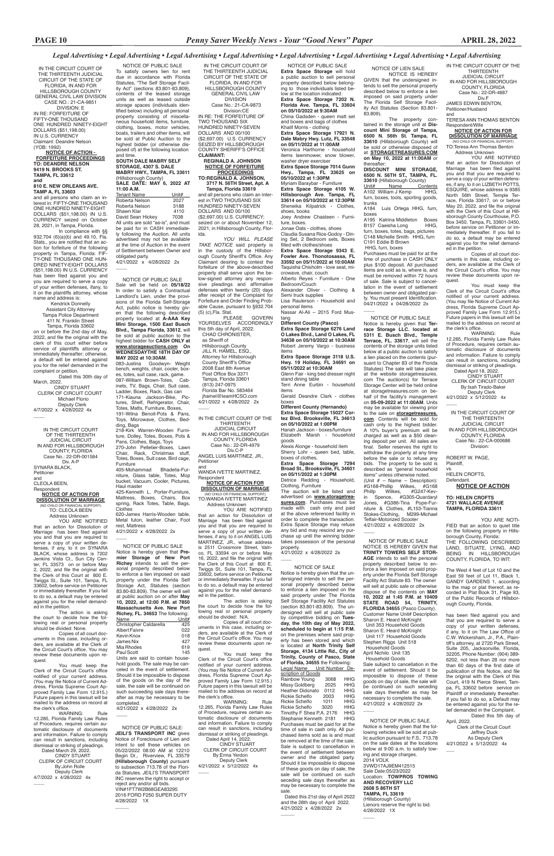IN THE CIRCUIT COURT OF THE THIRTEENTH

JUDICIAL CIRCUIT IN AND FOR HILLSBOROUGH COUNTY, FLORIDA Case No.: 22-DR-4887

Div.F JAMES EDWIN BENTON, Petitioner/Husband

and TERESA ANN THOMAS BENTON

Respondent/Wife **NOTICE OF ACTION FOR**

**DISSOLUTION OF MARRIAGE** (NO CHILD OR FINANCIAL SUPPORT) TO:Teresa Ann Thomas Benton

You must keep the Clerk of the Circuit Court's office notified of your current address. (You may file Notice of Current Address, Florida Supreme Court Approved Family Law Form 12.915.) Future papers in this lawsuit will be mailed to the address on record at the clerk's office.<br>WARNING:

WARNING: Rule 12.285, Florida Family Law Rules of Procedure, requires certain automatic disclosure of documents and information. Failure to comply can result in sanctions, including dismissal or striking of pleadings. Dated April 18, 2022.

 Address Unknown YOU ARE NOTIFIED that an action for Dissolution of Marriage has been filed against you and that you are required to serve a copy of your written defenses, if any, to it on LIZBETH POTTS, ESQUIRE, whose address is 9385 North 56th Street, Temple Terrace, Florida 33617, on or before May 20, 2022, and file the original with the Clerk of this Court at Hillsborough County Courthouse, P.O. Box 3450, Tampa, FL 33601-3450, before service on Petitioner or immediately thereafter. If you fail to do so, a default may be entered against you for the relief demanded in the petition.

 Deputy Clerk 4/21/2022 x 5/12/2022 4x  $\overline{\phantom{a}}$ 

YOU ARE NOTI-FIED that an action to quiet title on the following property in Hillsborough County, Florida: THE FOLLOWING DESCRIBED LAND, SITUATE, LYING, AND BEING IN HILLSBOROUGH COUNTY, FLORIDA, TO WIT:

Copies of all court documents in this case, including or-ders, are available at the Clerk of the Circuit Court's office. You may review these documents upon request.

 CINDY STUART CLERK OF CIRCUIT COURT By:Isah Tirado-Baker

IN THE CIRCUIT COURT OF THE THIRTEENTH JUDICIAL CIRCUIT IN AND FOR HILLSBOROUGH COUNTY, FLORIDA Case No.: 22-CA-000686 Division:

ROBERT W. PAGE, Plaintiff, vs.

A195 Katrina Middleton Boxes<br>B157 Caeisha Long HHG. B157 Caeisha Long furn, boxes, totes, bags, pictures C148 Michelle Smith HHG, furn C191 Eddie B Brown HHG, furn, boxes

Purchases must be paid for at the time of purchase in CASH ONLY plus \$100 deposit. All purchased items are sold as is, where is, and must be removed within 72 hours of sale. Sale is subject to cancellation in the event of settlement between owner and obligated party. You must present Identification. 04/21/2022 x 04/28/2022 2x  $\overline{\phantom{a}}$ 

> HELEN CROFTS, Defendant.

**NOTICE OF ACTION**

#### **TO: HELEN CROFTS 4721 WALLACE AVENUE TAMPA, FLORIDA 33611**

The West 4 feet of Lot 10 and the East 59 feet of Lot 11, Black 1, GANDY GARDENS 1, according to the map or plat thereof, as recorded in Plat Book 31, Page 93, of the Public Records of Hillsbor-

ough County, Florida.

has been filed against you and that you are required to serve a

copy of your written defenses, if any, to it on The Law Office of C.W. Wickersham, Jr., P.A., Plaintiff's attorney, at 2720 Park Street, Suite 205, Jacksonville, Florida, 32205, Phone Number: (904) 389- 6202, not less than 28 nor more than 60 days of the first date of publication of this Notice, and file the original with the Clerk of this Court, 419 N Pierce Street, Tampa, FL 33602 before service on Plaintiff or immediately thereafter. If you fail to do so, a Default may be entered against you for the relief demanded in the Complaint. Dated this 5th day of April, 2022.

 Clerk of the Circuit Court Jeffrey Duck As Deputy Clerk 4/21/2022 x 5/12/2022 4x

 $\overline{\phantom{0}}$ 

NOTICE OF LIEN SALE

NOTICE IS HEREBY GIVEN that the undersigned intends to sell the personal property described below to enforce a lien imposed on said property under The Florida Self Storage Facility Act Statutes (Section 83.801- 83.809).

The property con-tained in the storage unit at **Discount Mini Storage of Tampa, 6500 N. 56th St. Tampa, FL 33610** (Hillsborough County) will be sold or otherwise disposed of at **STORAGETREASURES.COM on May 10, 2022 at 11:00AM** or thereafter:

**DISCOUNT MINI STORAGE, 6500 N. 56TH ST., TAMPA, FL. 33610** (Hillsborough County)<br>Unit# Name Contents Unit# Name Contents

A102 William J Kemp HHG, furn, boxes, tools, sporting goods, trunks

A184 Luis Ortega HHG, furn, boxes

IN AND FOR HILLSBOROUGH COUNTY, FLORIDA Case No.: 22-DR-4979 Div.C-P

this case, including orders, are available at the Clerk of the Circuit Court's office. You may review these documents upon request.

You must keep the Clerk of the Circuit Court's office notified of your current address. (You may file Notice of Current Address, Florida Supreme Court Approved Family Law Form 12.915.) Future papers in this lawsuit will be mailed to the address on record at the clerk's office.<br>
WARNING:

 NOTICE OF PUBLIC SALE **Extra Space Storage** will hold a public auction to sell personal property described below belonging to those individuals listed below at the location indicated: **Extra Space Storage 7202 N. Florida Ave. Tampa, FL 33604 on 05/10/2022 at 9:30AM** China Gadsden - queen matt set and boxes and bags of clothes Khalif Morris - clothing **Extra Space Storage 17921 N. Dale Mabry Hwy. Lutz, FL 33548 on 05/11/2022 at 11:00AM** Veronica Harthorne - household items lawnmower, snow blower, washer dryer exerciser **Extra Space Storage 7014 Gunn Hwy., Tampa, FL 33625 on 05/10/2022 at 1:30PM**

 CINDY STUART CLERK OF CIRCUIT COURT By:Erma Yerdon Deputy Clerk 4/21/2022 x 5/12/2022 4x  $\overline{\phantom{a}}$ 

Myriam Baraybar - Furniture **Extra Space Storage 4105 W. Hillsborough Ave. Tampa, FL 33614 on 05/10/2022 at 12:30PM** Sheneika Kilpatrick - Clothes, shoes, books

Joey Andrew Chasteen - Furniture, boxes. Jonae Oats - clothes, shoes

Claudia Susana Rios-Godoy - Dining Set, 2 Bedroom sets, Boxes filled with clothes/shoes **Extra Space Storage 9343 E.** 

**Fowler Ave. Thonotosassa, FL 33592 on 05/11/2022 at 10:00AM** Taquisha Chisholm - love seat, microwave, chair, couch Alberto Reyes - Furniture - One

Bedroom/Couch Alexander Oliver - Clothing &

Semi truck supplies Lisa Raulerson - Household and personal items

Nassar Al-Ali – 2015 Ford Mustang

**Different County (Pasco) Extra Space Storage 6276 Land** 

**O Lakes Blvd., Land O Lakes, FL 34638 on 05/10/2022 at 10:30AM** Robert Jeremy Vargo - business items **Extra Space Storage 3118 U.S.** 

**Hwy. 19 Holiday, FL 34691 on 05/11/2022 at 10:30AM**  Glenn Fair - king bed dresser night

stand dining table Terri Anne Eurbin - household items

Tenant Name<br>
Roberta Nelson 2027 Roberta Nelson 2027<br>Roberta Nelson 3188 Roberta Nelson 3188<br>Shawn Klar 4110 Shawn Klar 4110<br>David Sean Hickev 7038 **David Sean Hickey** All units are sold "as-is", and must be paid for in CASH immediately following the Auction. All units advertised may not be available at the time of Auction in the event of Settlement between Owner and obligated party.

4/21/2022 x 4/28/2022 2x  $\overline{\phantom{a}}$ 

> Gerald Deandre Clark - clothes boxes **Different County (Hernando) Extra Space Storage 15027 Cortez Blvd. Brooksville, FL 34613**

**on 05/10/2022 at 1:00PM** Hanah Jackson - boxes/furniture Elizabeth Marsh - household

 $\overline{\phantom{a}}$  NOTICE OF SALE Notice is hereby given that the undersigned intends to sell the personal property described below to enforce a lien imposed on the said property under The Florida Self Storage Facility Act Statutes (section 83.801-83.809). The undersigned will sell at public sale by competitive bidding on **Tues-day, the 10th day of May 2022,** 

goods Alexis Alonge - household item Sherry Lohr - queen bed, table, boxes of clothes,

**Extra Space Storage 7294 Broad St., Brooksville, FL 34601 on 05/11/2022 at 1:30PM**

Detrice Redding - Household, Clothing, Furniture

4/21/2022 x 4/28/2022 2x

IN THE CIRCUIT COURT OF THE THIRTEENTH JUDICIAL CIRCUIT OF THE STATE OF FLORIDA, IN AND FOR HILLSBOROUGH COUNTY GENERAL CIVIL LAW

DIVISION Case No.: 21-CA-9873 Division:CE IN RE: THE FORFEITURE OF TWO THOUSAND SIX HUNDRED NINETY-SEVEN

DOLLARS AND 00/100 (\$2,697.00) U.S. CURRENCY SEIZED BY HILLSBOROUGH COUNTY SHERIFF'S OFFICE **CLAIMANT:**

#### **REGINALD A. JOHNSON NOTICE OF FORFEITURE PROCEEDINGS TO:REGINALD A. JOHNSON,**

 **3717 N. 56TH Street, Apt. A Tampa, Florida 33619** and all persons who claim an inter-

4/21/2022 x 4/28/2022 2x  $\overline{\phantom{a}}$ 

est in:TWO THOUSAND SIX HUNDRED NINETY-SEVEN DOLLARS AND 00/100 (\$2,697.00) U.S. CURRENCY; seized on or about November 12, 2021, in Hillsborough County, Florida.

*YOU WILL PLEASE TAKE NOTICE* said property is in the custody of the Hillsborough County Sheriff's Office. Any Claimant desiring to contest the forfeiture of the above-described property shall serve upon the below-signed attorney any responsive pleadings and affirmative defenses within twenty (20) days after receipt of the Complaint for Forfeiture and Order Finding Probable Cause, pursuant to §932.704 (5) (c),Fla. Stat.

PLEASE GOVERN YOURSELVES ACCORDINGLY this 5th day of April, 2022. CHAD CHRONISTER,

 as Sheriff of Hillsborough County JILL R. HAMEL, ESQ., Attorney for Hillsborough County Sheriff's Office 2008 East 8th Avenue Post Office Box 3371 Tampa, Florida 33601 (813) 247-0975 Florida Bar No. 583464 jhamel@teamHCSO.com 4/21/2022 x 4/28/2022 2x

4/7/2022 x 4/28/2022 4x  $\overline{\phantom{a}}$ 

IN THE CIRCUIT COURT OF THE THIRTEENTH JUDICIAL CIRCUIT

 $\overline{\phantom{a}}$ 

ANGEL LUIS MARTINEZ, JR., Petitioner and

WANDA IVETTE MARTINEZ, Respondent

**NOTICE OF ACTION FOR DISSOLUTION OF MARRIAGE** (NO CHILD OR FINANCIAL SUPPORT) TO:WANDA IVETTE MARTINEZ

Address Unknown YOU ARE NOTIFIED

YOU ARE NOTIFIED that an action for Dissolution of Marriage has been filed against you and that you are required to serve a copy of your written defenses, if any, to it on SYNARA BLACK, whose address is 7202 Jenkins Vista Ct., Sun City Center, FL 33573 on or before May 2, 2022, and file the original with the Clerk of this Court at 800 E. Twiggs St., Suite 101, Tampa, FL 33602, before service on Petitioner or immediately thereafter. If you fail to do so, a default may be entered against you for the relief demanded in the petition.

The action is asking the court to decide how the following real or personal property<br>should be divided: None should be divide

The auction will be listed and advertised on **www.storagetreasures.com**. Purchases must be made with cash only and paid at the above referenced facility in order to complete the transaction. Extra Space Storage may refuse any bid and may rescind any purchase up until the winning bidder takes possession of the personal property. 4/21/2022 x 4/28/2022 2x

that an action for Dissolution of Marriage has been filed against you and that you are required to serve a copy of your written defenses, if any, to it on ANGEL LUIS MARTINEZ, JR., whose address is 2511 Crossmore Street, Valrico, FL 33594 on or before May 16, 2022, and file the original with the Clerk of this Court at 800 E. Twiggs St., Suite 101, Tampa, FL 33602, before service on Petitioner or immediately thereafter. If you fail to do so, a default may be entered against you for the relief demanded in the petition.

WARNING: Rule 12.285, Florida Family Law Rules of Procedure, requires certain automatic disclosure of documents and information. Failure to comply can result in sanctions, including dismissal or striking of pleadings. Dated March 29, 2022. CINDY STUART CLERK OF CIRCUIT COURT By:John Rolle Deputy Clerk 4/7/2022 x 4/28/2022 4x

 $\overline{\phantom{a}}$ 

 NOTICE OF PUBLIC SALE Notice is hereby given that **Pre-mier Storage of New Port Richey** intends to sell the personal property described below to enforce a lien imposed on said property under the Florida Self Storage Act, Statutes (section 83.80-83.809). The owner will sell at public auction on or after **May 10, 2022, at 12:00 P.M. at 7850 Massachusetts Ave. New Port Richey, FL. 34653** The following:<br>Name Unit# Name Unit#<br>Christopher Caldarella 425

Christopher Caldarella

The action is asking

the court to decide how the following real or personal property should be divided: N/A. Copies of all court doc-

Albert Faivre 022 Kevin Knox 018<br>James Nix 427 James Nix 427<br>Mia Rhodes 619 Mia Rhodes 619<br>Paul Scott 619 Paul Scott

 $\overline{\phantom{a}}$ 

 $\overline{\phantom{a}}$ 

Sharon E. Heard McKnight Unit 117 Household Goods Stephen Riggs Unit 518 Household Goods April Nichilo Unit 135 Household Goods Sale subject to cancellation in the event of settlement. Should it be impossible to dispose of these goods on day of sale, the sale will be continued on such seceding sale days thereafter as may be necessary to complete the sale. 4/21/2022 x 4/28/2022 2x  $\overline{\phantom{a}}$ 

WARNING: Rule 12.285, Florida Family Law Rules of Procedure, requires certain au-tomatic disclosure of documents and information. Failure to comply can result in sanctions, including dismissal or striking of pleadings. Dated April 14, 2022.

NOTICE OF PUBLIC SALE Notice is hereby given that **Ter-race Storage LLC. located at 5311 E. Busch Blvd., Temple Terrace, FL. 33617**, will sell the contents of the storage units listed below at a public auction to satisfy a lien placed on the contents (pursuant to Chapter 83 of the Florida Statutes) The sale will take place at the website storagetreasures. com The auction(s) for Terrace Storage Center will be held online at storagetreasures.com on behalf of the facility's management on **05-09-2022 at 11:00AM**. Units may be available for viewing prior to the sale on **storagetreasures. com**. Contents will be sold for cash only to the highest bidder. A 10% buyer's premium will be charged as well as a \$50 cleaning deposit per unit. All sales are final. Seller reserves the right to withdraw the property at any time before the sale or to refuse any bids. The property to be sold is described as "general household items" unless otherwise noted. (Unit  $# -$  Name – Description):<br> $#G168-Phillin$  Wilkes  $#G168$ #G168-Phillip Wilkes,<br>Phillp Wilkes, #G  $#G247-Kev$ in Spence, #G305-Quardaryl Jones, #G386-Tina Pope-Furniture & Clothes, #L153-Tianna Stokes-Clothing, M299-Michael Telfair-Motorized Scooter

 NOTICE OF PUBLIC SALE To satisfy owners lien for rent due in accordance with Florida Statutes, "The Self Storage Facility Act" (sections 83.801-83.809), contents of the leased storage units as well as leased outside storage spaces (individuals identified below) including all personal property consisting of miscellaneous household items, furniture, clothing, boxes, motor vehicles, boats, trailers and other items, will be sold at Public Auction to the highest bidder (or otherwise disposed of) at the following location and time.

### **SOUTH DALE MABRY SELF STORAGE, 4307 S. DALE MABRY HWY., TAMPA, FL 33611** (Hillsborough County) **SALE DATE: MAY 6, 2022 AT 11:00 A.M.**

**scheduled to begin at 1:15 P.M.** on the premises where said property has been stored and which located at **North Trinity Self Storage, 4134 Little Rd., City of Trinity, County of Pasco, State of Florida, 34655** the Following: Legal Name Unit Number Description of Goods Rainbow Young 3068 HHG<br>Missy Goldberg 2025 HHG Missy Goldberg 2025 HHG<br>Heather Didonato 0112 HHG Heather Didonato 0112 HHG<br>Rickie Schelfo 2003 HHG Rickie Schelfo 2003 HHG<br>Rickie Schelfo 1011 HHG Rickie Schelfo 1011 HHG<br>Rickie Schelfo 3020 HHG Rickie Schelfo 3020 HHG<br>Timothy F Shea P.A. 2176 HHG Timothy F Shea P.A. 2176 HHG<br>Stephanie Kenneth 2181 HHG Stephanie Kenneth 2181 Purchases must be paid for at the time of sale in cash only. All purchased items sold as is and must be removed at the time of the sale. Sale is subject to cancellation in the event of settlement between owner and the obligated party. Should it be impossible to dispose of these goods on day of sale, the sale will be continued on such seceding sale days thereafter as may be necessary to complete the sale.

 Dated this 21st day of April 2022 and the 28th day of April 2022. 4/21/2022 x 4/28/2022 2x

 $\overline{\phantom{a}}$ 

 NOTICE OF PUBLIC SALE Sale will be held on **05/18/22** In order to satisfy a Contractual Landlord's Lien, under the provisions of the Florida Self-Storage Act, public notice is hereby given that the following described property located at **A-AAA Key Mini Storage, 1500 East Busch Blvd., Tampa Florida, 33612**, will be sold at public auction to the highest bidder for **CASH ONLY at www.storageauctions.com On WEDNESDAYTHE 18TH DAY OF MAY 2022 at 10:30AM**. 083-Justina Goodwyn- Weight

bench, weights, chair, cooler, boxes, totes, suit case, rack, game. 087-William Brown-Totes, Cabinets, TV, Bags, Chair, Suit case, Ladder, Boxes, Rack, Gas can 171-Kiauna Jackson-Bike, Pictures, Shelf, Refrigerator, Chair, Totes, Matts, Furniture, Boxes, 191-Wilna Benoit-Pots & Pans, Toys, Microwave, Clothes, Bedding, Bags 218-Kirk Warren-Wooden Furniture, Dolley, Totes, Boxes, Pots &

Pans, Clothes, Bags, Toys 270-John Pelletier-Boxes, Lawn<br>Chair, Rack, Christmas stuff, Rack, Christmas Totes, Boxes, Suit case, Bird cage, Furniture

405-Mohammad Bhadelia-Furniture, Glass table, Totes, Mop bucket, Vacuum, Cooler, Pictures, Haul master 425-Kenneth L. Porter-Furniture,

Mattress, Boxes, Chairs, Box spring, Rack Totes, Table, Bags, Clothes 620-James Harris-Wooden table, Metal futon, leather Chair, Foot rest, Mattress

IN THE CIRCUIT COURT OF THE THIRTEENTH JUDICIAL CIRCUIT OF THE STATE OF FLORIDA, IN AND FOR HILL SBOROUGH COUNTY GENERAL CIVIL LAW DIVISION CASE NO.: 21-CA-9851 DIVISION: E IN RE: FORFEITURE OF FIFTY-ONE THOUSAND ONE HUNDRED NINETY-EIGHT DOLLARS (\$51,198.00) IN U.S. CURRENCY Claimant: Deandre Nelson (YOB: 1992)

**NOTICE OF ACTION - FORFEITURE PROCEEDINGS TO: DEANDRE NELSON 9419 N. BROOKS ST. TAMPA, FL 33612 and 810 E. NEW ORLEANS AVE. TAMP A, FL 33603**

and all persons who claim an interest in: FIFTY-ONE THOUSAND ONE HUNDRED NINETY-EIGHT DOLLARS (\$51,198.00) IN U.S. CURRENCY seized on October 28, 2021, in Tampa, Florida.

In compliance with §§ 932.704 (6)(a)(b) and 49.10, Fla. Stats., you are notified that an action for forfeiture of the following property in Tampa, Florida: FIF-TY-ONE THOUSAND ONE HUN-DRED NINETY-EIGHT DOLLARS (\$51,198.00) IN U.S. CURRENCY has been filed against you and you are required to serve a copy of your written defenses, ifany, to it on the plaintiffs attorney, whose name and address is:

Kendrick Donnelly Assistant City Attorney Tampa Police Department

411 N. Franklin Street Tampa, Florida 33602

on or before the 2nd day of May, 2022, and file the original with the clerk of this court either before service of plainttiffs attorney or immediately thereafter; otherwise, a default will be entered against you for the relief demanded in the complaint or petition.

Dated this 30th day of March, 2022. CINDY STUART

 CLERK OF CIRCUIT COURT Michael Florio Deputy Clerk

IN THE CIRCUIT COURT OF THE THIRTEENTH JUDICIAL CIRCUIT IN AND FOR HILLSBOROUGH COUNTY, FLORIDA Case No.: 22-DR-001584 Div. A-P SYNARA BLACK, Petitioner and

#### CLEOLA BEEN, Respondent

**NOTICE OF ACTION FOR DISSOLUTION OF MARRIAGE**

(NO CHILD OR FINANCIAL SUPPORT) TO: CLEOLA BEEN

Address Unknown

Copies of all court documents in this case, including or-ders, are available at the Clerk of the Circuit Court's office. You may review these documents upon request.

You must keep the Clerk of the Circuit Court's office notified of your current address. (You may file Notice of Current Address, Florida Supreme Court Approved Family Law Form 12.915.) Future papers in this lawsuit will be mailed to the address on record at the clerk's office.

Units are said to contain household goods. The sale may be canceled in the event of settlement. Should it be impossible to dispose of the goods on the day of the sale, the sale will be continued on such succeeding sale days thereafter as may be necessary to be completed. 4/21/2022 x 4/28/2022 2x

 NOTICE OF PUBLIC SALE NOTICE IS HEREBY GIVEN that **TRINITY TOWERS SELF STOR-AGE** intends to sell the personal property described below to enforce a lien imposed on said property under the Florida Self Storage Facility Act Statute 83. The owner will sell at public sale or otherwise dispose of the contents on **MAY 10, 2022 at 1:45 P.M. at 10409 STATE ROAD 54, TRINITY, FLORIDA 34655** (Pasco County). Customer Name Unit# Description Sharon E. Heard McKnight

 $\overline{\phantom{a}}$ 

Unit 353 Household Goods

 NOTICE OF PUBLIC SALE: **JEILI'S TRANSPORT INC** gives Notice of Foreclosure of Lien and intent to sell these vehicles on 05/22/2022 08:00 AM at 12210 Begin Dr., Riverview, FL 33579 **(Hillsborough County)** pursuant to subsection 713.78 of the Florida Statutes. JEILI'S TRANSPORT INC reserves the right to accept or reject any and/or all bids. VIN#1FT7W2B68GEA83295 2016 FORD F250 SUPER DUTY 4/28/2022 1X

 NOTICE OF PUBLIC SALE. Notice is hereby given that the following vehicles will be sold at public auction pursuant to F.S.. 713.78 on the sale dates at the locations below at 9:00 a.m. to satisfy towing and storage charges. 2014 VOLK 3VWD17AJ9EM412515 Sale Date:05/23/2022 Location: **TOWPROS TOWING AND RECOVERY LLC 2608 S 86TH ST TAMPA, FL 33619** (Hillsborough County) Lienors reserve the right to bid. 4/28/2022 1X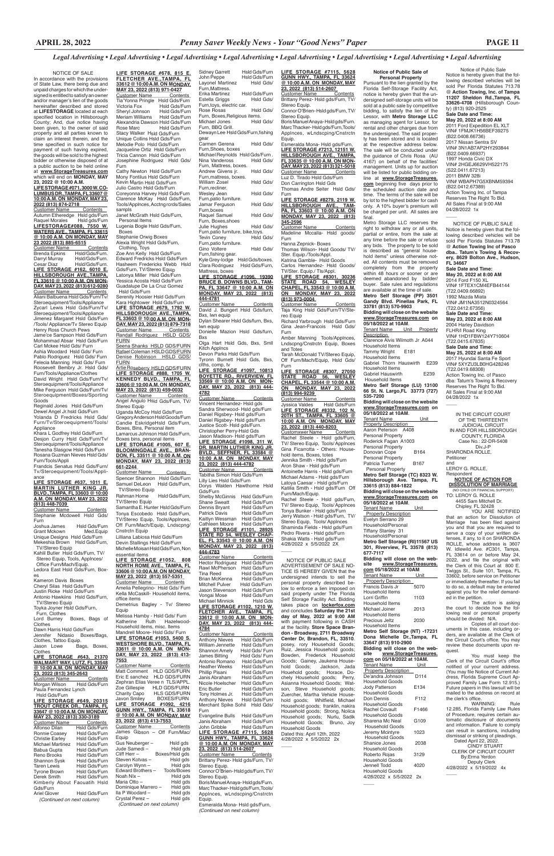**LIFE STORAGE #678, 815 E. FLETCHER AVE.,TAMPA, FL 33612 @ 10:00 A.M. ON MONDAY, MAY 23, 2022 (813) 971-0427** <u>Customer Name Contents </u><br>Tia'Yonna Pringle Hsld Gds/Furn Victoria Fox Hsld Gds/Furn Sheryl Johnson<br>Meriam Williams Hsld Gds/Furn Meriam Williams Alexandria Dawson Hsld Gds/Furn Hsld Gds/Furn Stacy Walker Hsld Gds/Furn Unique Collins Hsld Gds/Furn Melodie Polo Hsld Gds/Furn Jacqueline Ortiz Hsld Gds/Furn Tricia Cannon Hsld Gds/Furn Josephine Rodriguez Hsld Gds/ Furn Cathy Newton Hsld Gds/Furn Mony Fontilus Hsld Gds/Furn Kevin Martin Hsld Gds/Furn Julio Castro Hsld Gds/Furn

Coreyonna Harvey Hsld Gds/Furn Clarence McKay Hsld Gds/Furn, Tools/Applnces, Acctng rcrds/Sales sampls

**FURN** Artie Roseberry HSLD GDS/FURN **LIFE STORAGE #888, 1705 W. KENNEDY BLVD., TAMPA, FL 33606 @ 10:00 A.M. ON MONDAY, MAY 23, 2022 (813) 459-0032**

<u>Customer Name Contents </u><br>Angel Angulo Hsld Gds/Furn, TV/ Stereo Equip

Janet McGrath Hsld Gds/Furn,

 Personal Items Lugenia Bogle Hsld Gds/Furn,

 Boxes Stephanie Orwig Boxes

Alexia Wright Hsld Gds/Furn,

Customer Name Contents Spencer Shannon Hsld Gds/Furn Samuel DeLeon Hsld Gds/Furn,

 Clothing, Toys Zoe Ann Kelly Hsld Gds/Furn Edward Fredricks Hsld Gds/Furn Hasheem Fredericks Webb Hsld Gds/Furn, TV/Stereo Equip Latonya Miller Hsld Gds/Furn Yessica Acosta Hsld Gds/Furn Guadalupe De La Cruz Gomez Hsld Gds/Furn

Serenity Hoosier Hsld Gds/Furn Kara Hightower Hsld Gds/Furn **LIFE STORAGE #679, 1792 W. HILLSBOROUGH AVE.,TAMPA, FL 33603 @ 10:00 A.M. ON MON-DAY, MAY 23, 2022 (813) 879-7318** Customer Name Contents Randall Rodriguez HSLD GDS/ FURN

Seena Shanks HSLD GDS/FURN Rafael Coleman HSLD GDS/FURN<br>Denise Robinson - HSLD-GDS/

Uganda McCoy Hsld Gds/Furn Gregory Anderson Hsld Goods/Furn Candie EskridgeHsld Gds/Furn, Boxes, Bins, Personal item Lamarcus Johnson Hsld Gds/Furn,

Boxes bins, personal items **LIFE STORAGE #1005, 607 E.** 

**BLOOMINGDALE AVE., BRAN-DON, FL 33511 @ 10:00 A.M. ON MONDAY, MAY 23, 2022 (813) 661-2244** 

 TV/Stereo Equip Rahman Horne Hsld Gds/Furn, TV/Stereo Equip

Samantha E. Hunter Hsld Gds/Furn Tonya Escobedo Hsld Gds/Furn, TV/Stereo Equip, Tools/Applnces, Off Furn/Mach/Equip, Lndscpng/ Cnstrctn Equip Lilliana Labiosa Hsld Gds/Furn

Devin Stallings Hsld Gds/Furn Michelle Moisan Hsld Gds/Furn, Non essential items

**LIFE STORAGE #1052, 808 NORTH ROME AVE., TAMPA, FL 33606 @ 10:00 A.M. ON MONDAY,** 

**MAY 23, 2022 (813) 557-5351**  Customer Name Contents Amelia Pellegrino- Hsld Gds/ Furn Kella McCaskill- Household items, office items

Demetrius Bagley - Tv/ Stereo Equip

Melissa Hamby - Hsld Gds/ Furn<br>Katherine Ruth Hazelwood Ruth Hazelwood-Household items, misc. Items Mandrell Moore- Hsld Gds/ Furn **LIFE STORAGE #1053, 5400 S. WESTSHORE BLVD., TAMPA, FL 33611 @ 10:00 A.M. ON MON-DAY, MAY 23, 2022 (813) 413- 7553**  Customer Name Contents Matt Comment HLD GDS/FURN Eric E sanchez HLD GDS/FURN Zephran Elias Veree n TLS/APPL. Zoe Gillespie HLD GDS/FURN Charity Capo HLS GDS/FURN<br>Javon Smiley BOXES/FURN BOXES/FURN **LIFE STORAGE #1092, 4216 GUNN HWY., TAMPA, FL 33618 @ 10:00 A.M. ON MONDAY, MAY 23, 2022 (813) 413-7553**  Customer Name Contents James Gibson – Off Furn/Mac/ Equip Gus Neuberger – Hsld gds Jude Samedi – Hsld gds<br>Cliff Herr – Roxes/Hsld gds Boxes/Hsld gds<br>Hsld gds Steven Kotvas – Hsld gds<br>Carolyn Wynn – Hsld gds Carolyn Wynn – Hsld gds<br>Edward Brothers – Tools/Boxes Edward Brothers -Noah NIx – Hsld gds<br>Maria Otto – Hsld gds Hsld gds Dominique Marrero – Hsld gds<br>Ila P Woodard – Hsld gds Ila P Woodard – Hsld gds<br>Crystal Perez – Hsld gds Crystal Perez - *(Continued on next column)* Stereo Equip.

#### **LIFE STORAGE #637, 1011 E. MARTIN LUTHER KING JR. BLVD.,TAMPA, FL 33603 @ 10:00 A.M. ON MONDAY, MAY 23, 2022 (813) 448-7039**  Customer Name Contents

Stephanie Mcdowell Hsld Gds/ Furn<br>Joshua James

Joshua James Hsld Gds/Furn<br>Grant Mckown Med.Equip Grant Mckown Med.Equip<br>Unique Designs Hsld Gds/Furn Mekeshia Brown Hsld Gds/Furn, TV/Stereo Equip

Toyka Joyner Hsld Gds/Furn, Furn, Clothes<br>Lord Burney Boxes, Bags of **LIFE STORAGE #7115, 5628 GUNN HWY., TAMPA, FL 33624 @ 10:00 A.M. ON MONDAY, MAY 23, 2022 (813) 514-2607**  Customer Name Contents

Stereo Equip. Boris Manuel Anaya- Hsld gds/Furn. Marc Thacker- Hsld gds/Furn,Tools/ Applnces, wLndscping/Cnstrctn Equip. Esmeralda Mona- Hsld gds/Furn,

**LIFE STORAGE #7213, 12151 W. HILLSBOROUGH AVE., TAMPA, FL 33635 @ 10:00 A.M. ON MON-DAY, MAY 23, 2022 (813) 321-5018**  Customer Name Luz D. Tirado Hsld Gds/Furn

 NOTICE OF SALE In accordance with the provisions of State Law, there being due and unpaid charges for which the undersigned is entitled to satisfy an owner and/or manager's lien of the goods hereinafter described and stored at **LIFESTORAGE** located at each specified location in Hillsborough County; And, due notice having been given, to the owner of said property and all parties known to claim an interest therein, and the time specified in such notice for payment of such having expired, the goods will be sold to the highest bidder or otherwise disposed of at a public auction to be held online at **www.StorageTreasures.com**  which will end on **MONDAY, MAY** 

> Customer Name Contents Taja King Hsld Gds/Furn/TV/Stereo Equip

> Richard Yarbrough Hsld Gds/Furn Gina Jean-Francois Hsld Gds/

### **23, 2022 @ 10:00 A.M. LIFE STORAGE #071, 3000 W. CO-LUMBUS DR.,TAMPA, FL 33607 @ 10:00 A.M. ON MONDAY, MAY 23, 2022 (813) 874-2718**

Customer Name Contents Autumn Etheredge Hsld gds/Furn Raquel Morales Hsld gds/Furn **LIFESTORAGE#088, 7550 W. WATERS AVE., TAMPA, FL 33615 @ 10:00 A.M. ON MONDAY, MAY 23 2022 (813) 885-6515**

Customer Name Contents<br>Brenda Epkins Hsld/Gds/Furn. Brenda Epkins Hsld/Gds/Furn.<br>Darryl Murray Hsld/Gds/Furn. Darryl Murray Hsld/Gds/Furn.<br>Cesar Diaz Hsld/Gds/Furn. Cesar Diaz Hsld/Gds/Furn. **LIFE STORAGE #162, 6010 E. HILLSBOROUGH AVE.,TAMPA, FL 33610 @ 10:00 A.M. ON MON-DAY, MAY 23, 2022 (813) 612-9280** Customer Name \_\_\_\_\_\_Contents<br>Aliani Balbuena Hsld Gds/Furn/Tv/<br>Steroequipment/Tools/Appliance

Zycarl Lewis Hsld Gds/Furn/Tv/ Steroequipment/Tools/Appliance Jimenez Margaret Hsld Gds/Furn /Tools/ Appliance/Tv Stereo Equip Henry Ross Church Pews

Jame'ce Sampson Hsld Gds/Furn Mohammad Absar Hsld Gds/Furn Carl Mckee Hsld Gds/ Furn

Ashia Woodard Hsld Gds/ Furn Pablo Rodriguez Hsld Gds/ Furn Felecia Manning Hsld Gds/ Furn Roosevelt Bembry Jr. Hsld Gds/ Furn/Tools/Appliance/Clothes David Wright Hsld Gds/Furn/Tv/ Steroequipment/Tools/Appliance Mike Ferguson Hsld Gds/Furn/Tv/ Steroequipment/Boxes/Sporting

Goods Reginald Jones Hsld Gds/Furn Dewel Angel Jr.hsld Gds/Furn Yolanda D Fredricks Hsld Gds/ Furn/Tv/Steroequipment/Tools/ Appliance

Khara L Godfrey Hsld Gds/Furn Desjon Curry Hsld Gds/Furn/Tv/ Steroequipment/Tools/Appliance Tanesha Slasgow Hsld Gds/Furn Rosana Guzman Nieves Hsld Gds/

Furn/Tools/Appli Frandcis Senatus Hsld Gds/Furn/ Tv/Steroequipment/Tools/Appliance

Kahlil Butler Hsld Gds/Furn, TV/ Stereo Equip, Tools, Applnces/ Office Furn/Mach/Equip. Ledora East Hsld Gds/Furn, Box-

es Kameron Davis Boxes Cheryl Silas Hsld Gds/Furn Justin Ricke Hsld Gds/Furn Antonio Hawkiins Hsld Gds/Furn, TV/Stereo Equip

Customer Name<br>Hector Rodriguez Contents<br>Hsld Gds/Furn<br>Hsld Gds/Furn Rawl McPherson<br>Tina Reed Hsld Gds/Furn<br>Hsld Gds/Furn Brian McKenna Hsld Gds/Furn<br>Mitchell Pulver Hsld Gds/Furn Mitchell Pulver Hsld Gds/Furn<br>Jason Stevenson Hsld Gds/Furn Jason Stevenson<br>Vongai Mose Vongai Mose Hsld Gds/Furn<br>Michael Minniok Hsld Gds Michael Minniok Hsld Gds **LIFE STORAGE #1102, 1210 W. FLETCHER AVE., TAMPA, FL 33612 @ 10:00 A.M. ON MON-DAY, MAY 23, 2022 (813) 444- 4784** Customer Name Contents<br>Anthony Nieves Hsld Gds/Furn Hsld Gds/Furn<br>Hsld Gds/Furn William Jennette<br>Shannon Amely Hsld Gds/ Furn<br>Hsld Gds/ Furn James Bitting Hsld Gds/ Furn<br>Antonio Romano Hsld Gds/Furn Antonio Romano<br>Heather Weeks Heather Weeks Hsld Gds/Furn<br>Phillip Pisani Hsld Gds/Furn Phillip Pisani Hsld Gds/Furn<br>Janis Abraham Hsld Gds/Furn Hsld Gds/Furn<br>Hsld Gds/Furn Nicole Hoelscher<br>Eric Butler Hsld Gds/Furn<br>Hsld Gds/Furn Tony Holmes Jr. Hsld Gds/Furn<br>Anthony Nieves Hsld Gds/Furn **Anthony Nieves** Merchant Spike Sohil Hsld Gds/ Furn Evangeline Bulls Hsld Gds/Furn<br>Janis Abraham Hsld Gds/Furn Janis Abraham<br>John Gribble Hsld Gds/Furn **LIFE STORAGE #7115, 5628 GUNN HWY., TAMPA, FL 33624 @ 10:00 A.M. ON MONDAY, MAY 23, 2022 (813) 514-2607**  Customer Name Contents Brittany Perez- Hsld gds/Furn, TV/ Stereo Equip. Connor O'Brien- Hsld gds/Furn, TV/

Notice of Public Sale Notice is hereby given that the following described vehicles will be sold Per Florida Statutes 713.78 @ **Action Towing, Inc. of Tampa 11207 Sheldon Rd.,Tampa, FL 33626-4708** (Hillsborough County) (813) 920-2525 **Sale Date and Time: May 20, 2022 at 8:00 AM** 2011 Ford Expedition EL XLT VIN# 1FMJK1H56BEF39275 (B22.0408.66736) 2017 Nissan Sentra SV VIN# 3N1AB7AP2HY293844 (B22.0409.66937) 1997 Honda Civic DX VIN# 2HGEJ6629VH522175 (S22.0411.67213) 2011 BMW 328i VIN# WBAPH7G5XBNM59394 (B22.0412.67389) Action Towing Inc. of Tampa Reserves The Right To Bid. All Sales Final at 9:00 AM 04/28/2022 1x  $\overline{\phantom{a}}$ 

NOTICE OF PUBLIC SALE Notice is hereby given that the following described vehicles will be sold Per Florida Statutes 713.78 @ **Action Towing Inc of Pasco dba.. Tatum's Towing & Recovery, 8629 Bolton Ave., Hudson, FL 34667 Sale Date and Time: May 20, 2022 at 8:00 AM** 2014 Ford F150 XL VIN# 1FTEX1CM4EFB44144 (T22.0409.66892) 1992 Mazda Miata VIN# JM1NA3512N0324564 (T22.0412.67356) **Sale Date and Time: May 23, 2022 at 8:00 AM** 2004 Harley Davidson FLHR/I Road King VIN# 1HD1FBW124Y710604 (T22.0415.67835) **Sale Date and Time: May 25, 2022 at 8:00 AM** 2017 Hyundai Santa Fe Sport VIN# 5XYZU3LB0HG428246 (T22.0419.68308) Action Towing Inc. of Pasco dba: Tatum's Towing & Recovery Reserves The Right To Bid. All Sales Final at 9:00 AM 04/28/2022 1x  $\overline{\phantom{a}}$ 

Clothes Dawn Harris Hsld Gds/Furn Jennifer Nidasio Boxes/Bags, Clothes, Tattoo Equip.<br>Jason Lowe Bad Bags, Boxes, Clothes **LIFE STORAGE #643, 21370 WALMART WAY, LUTZ, FL 33548 @ 10:00 A.M. ON MONDAY, MAY 23, 2022 (813) 345-2643** Customer Name Contents Morgan Wilson Hsld Gds/Furn Paula Fernandez Lynch Hsld Gds/Furn **LIFE STORAGE #649, 20315 TROUT CREEK DR., TAMPA, FL 33647 @ 10:00 A.M. ON MONDAY, MAY 23, 2022 (813) 330-3189** Customer Name<br>Alfonso Dilan Hsld Gds/Furn<br>Hsld Gds/Furn Ronnie Coasey<br>Christie Earley Hsld Gds/Furn<br>Hsld Gds/Furn Michael Martinez<br>Babua Gupta Hsld Gds/Furn<br>Hsld Gds/Furn Reno Brooks<br>Shannon Sysk Hsld Gds/Furn Taren Lewis Hsld Gds/Furn<br>Tyrone Brown Hsld Gds/Furn Tyrone Brown Hsld Gds/Furn<br>Derek Smith Hsld Gds/Furn Hsld Gds/Furn Kimberly About Faouatih Hsld Gds/Furn<br>Ariel Glover Hsld Gds/Furn  *(Continued on next column)*

Brittany Perez- Hsld gds/Furn, TV/ Stereo Equip. Connor O'Brien- Hsld gds/Furn, TV/

Don Carrington Hsld Gds Thomas Andre Seiter Hsld Gds/ Furn **LIFE STORAGE #8279, 2119 W.** 

**HILLSBOROUGH AVE., TAM-PA, FL 33603 @ 10:00 A.M. ON MONDAY, MAY 23, 2022 (813) 345-2596**

 NOTICE OF PUBLIC SALE ADVERTISEMENT OF SALE NO-TICE IS HEREBY GIVEN that the undersigned intends to sell the personal property described below to enforce a lien imposed on said property under The Florida Self Storage Facility Act. Bidding takes place on **lockerfox.com** and concludes **Saturday the 21st day of May, 2022 at 9:00 AM** with payment following in CASH at the facility. **Store Space Brandon - Broadway, 2711 Broadway Center Dr, Brandon, FL, 33510**. posey, rory Household Goods;<br>Ruiz, Jessica Household goods: Ruiz, Jessica Household goods; Bowden, Frederick Household Goods; Gainey, Jaukena House-<br>hold Goods; Jackson, Jada hold Goods; Jackson, Jada Houehold goods; Horace, Dochely Household goods; Perry, Asianna Household Goods; Watson, Steve Household goods; Zuercher, Martha Vehicle Household goods; Whitfield, Michael Household goods; franklin, nakira Household goods; Strong, Nolica Household goods; Nurlu, Sadik Household Goods; Bruno, Joy Household Goods Dated this: April 12th, 2022 4/28/2022 x 5/5/2022 2x  $\overline{\phantom{a}}$ 

Customer Name Contents Madeline Mccalla- Hsld goods/ Furn

Hanna Zepnick- Boxes Thomas Wilson- Hsld Goods/ TV/ Ster. Equip./Tools/Appl.

Katrina Gamble- Hsld Goods Carlos Hernandez- Hsld Goods/ TV/Ster. Equip./ Tls/Appl.

**LIFE STORAGE #8301, 30236 STATE ROAD 54, WESLEY CHAPEL, FL 33543 @ 10:00 A.M. ON MONDAY, MAY 23, 2022 (813) 973-0004** 

Amber Manning Tools/Applnces, Lndscpng/Cnstrctn Equip, Boxes and Totes

Tarah McDonald TV/Stereo Equip, Off Furn/Mach/Equip, Hsld Gds/

**LIFE STORAGE #8307, 27050 STATE ROAD 56, WESLEY CHAPEL, FL 33544 @ 10:00 A.M. ON MONDAY, MAY 23, 2022**

right to withdraw any or all units, partial or entire, from the sale at any time before the sale or refuse any bids. The property to be sold is described as "general household items" unless otherwise noted. All contents must be removed completely from the property within 48 hours or sooner or are deemed abandoned by bidder/ buyer. Sale rules and regulations are available at the time of sale. **Metro Self Storage (PP) 3501 Gandy Blvd. Pinellas Park, FL 33781 (813) 570-9903 Bidding will close on the website www.StorageTreasures.com on 05/18/2022 at 10AM**. Tenant Name Unit Property **Description** Clarence Alvis Wilmoth Jr A044 Household Items Tammy Wright E181 Household Items Gabriel Thorn Hauswirth E239 Household Items Gabriel Hauswirth E239 Household Items **Metro Self Storage (LU) 13100 66 St. N. Largo,FL 33773 (727) 535-7200 Bidding will close on the website www.StorageTreasures.com on 05/18/2022 at 10AM**. Tenant Name Unit Property Description Aaron Peterson A408 Personal Property Roderick Fagan A1003 Personal Property Donovan Cope B164 Personal Property Patricia Turner B167 Personal Property **Metro Self Storage (TC) 8323 W. Hillsborough Ave. Tampa, FL 33615 (813) 884-1822 Bidding will close on the website www.StorageTreasures.com on 05/18/2022 at 10AM**. Tenant Name Unit **Property Description** Evelyn Serrano 29 Household/Personal Tiffany Stanley 31 Household/Personal **Metro Self Storage (RI)11567 US 301, Riverview, FL 33578 (813) 677-7117 Bidding will close on the website www.StorageTreasures. com 05/18/2022 at 10AM** Tenant Name Unit **Property Description** Francis Davis Jr 5070

**(813) 994-9239**  Customer Name Contents<br>Jyssica Valdes Hsld Gds/Furn Hsld Gds/Furn **LIFE STORAGE #8332, 102 N. 20TH ST., TAMPA, FL 33605 @ 10:00 A.M. ON MONDAY, MAY 23, 2022 (813) 440-8203**  Customxwer Name Contents Rachel Steele - Hsld gds/Furn, TV/ Stereo Equip, Tools/ Applnces Gina Ficarrotta - Others: Household items, Boxes, totes Jennika Smith - Hsld gds/Furn Aron Shaw - Hsld gds/Furn Antoinette Harris - Hsld gds/Furn Michael Adams - Hsld gds/Furn Latoya Caesar - Hsld gds/Furn Katilia Smith - Hsld gds/Furn Off Furn/Mach/Equip. Rachel Steele - Hsld gds/Furn, TV/ Stereo Equip, Tools/ Applnces Tonya Bunker - Hsld gds/Furn Jerry Watson - Hsld gds/Furn, TV/ Stereo Equip, Tools/ Applnces Shaminda Fields - Hsld gds/Furn Pedro Rivera - Hsld gds/Furn Shakia Watts - Hsld gds/Furn

4/28/2022 x 5/5/2022 2X

 $\overline{\phantom{a}}$ 

Furn Furn Sidney Garrett Hsld Gds/Furn<br>John Peppe Hsld Gds/Furn Hsld Gds/Furn<br>Hsld Gds/ Layonel Martinez Furn, Mattress.<br>Erika Martinez Hsld Gds/Furn<br>Hsld Gds/ Estella Griggs Furn,toys, electric car. Rose Rosas Hsld Gds/ Furn, Boxes, Religious items.<br>Michael Jones Hsld Gds/ Michael Jones Furn, BBQ Grill. Dewayn Lee Hsld Gds/Furn,fishing Carmen Gerena Hsld Gds/ Furn,Shoes, boxes Michael Reynolds Hsld Gds/Furn .<br>Nina Vandeross Hsld Gds/ Nina Vandeross Furn, Mattress, boxes. Andrew Givens jr. Hsld Gds/ Furn,mattress, boxes. William Zosel Hsld Gds/ Furn,recliner. Wesley Jean Hsld Gds/ Furn,patio furniture. Jamar Ferguson Hsld Gds/ Furn,boxes Raquel Samuel Hsld Gds/ Furn, Boxes,shoes Julie Hughes Hsld Gds/ Furn,patio furniture, bike,toys. **Tevin Coney** Furn,patio furniture. Gino Voltere Hsld Gds/ Furn, fishing gear. Kyle Grey-lodge Hsld Gds/boxes.<br>Clara Rodriguez Hsld Gds/Furn, Hsld Gds/Furn, Mattress, boxes **LIFE STORAGE #1096, 19390 BRUCE B. DOWNS BLVD., TAM-PA, FL 33647 @ 10:00 A.M. ON MONDAY, MAY 23, 2022 (813) 444-4781** Customer Name Contents David J. Bungert Hsld Gds/furn, Bxs, lwn equip Dylan Shearer Hsld Gds/furn, Bxs, lwn equip Donielle Mazion Hsld Gds/furn, Olga Hart Hsld Gds, Bxs, Smll Kitch Applncs Devon Parks Hsld Gds/Furn Tyronn Burnett Hsld Gds, Bxs, clths, comp, tv **LIFE STORAGE #1097, 10813 BOYETTE RD., RIVERVIEW, FL 33569 @ 10:00 A.M. ON MON-**

gear

Bxs

**DAY, MAY 23, 2022 (813) 444- 4782** Customer Name Contents Vincent Hernandez- Hsld gds Sandra Sherwood- Hsld gds/Furn Daniel Rigsbey- Hsld gds/Furn Daniel Rigsbey- Hsld gds/Furn Justice Scott- Hsld gds/Furn. Christopher Perry-Hsld Gds Jason Madison- Hsld gds/Furn **LIFE STORAGE #1098, 311 W. DR. MARTIN LUTHER KING JR. BVLD., SEFFNER, FL 33584 10:00 A.M. ON MONDAY, MAY 23, 2022 (813) 444-4782** <u>Customer Name Contents</u><br>Tabitha Simon Hsld Gds/Furn Lilly Lies Hsld Gds/Furn

Dorys Walden Hawthorne Hsld Gds/Furn Shelby McGinnis Hsld Gds/Furn<br>Shane Sweatt Hsld Gds/Furn Hsld Gds/Furn<br>Hsld Gds/Furn Dennis Bryant Hsld Gds/Furn<br>Patrick Davis Hsld Gds/Furn Patrick Davis<br>Kaitlyn Wessman Kaitlyn Wessman Hsld Gds/Furn Cathleen Moore Hsld Gds/Furn **LIFE STORAGE #1101, 28925 STATE RD 54, WESLEY CHAP-EL, FL 33543 @ 10:00 A.M. ON MONDAY, MAY 23, 2022 (813) 444-4783**

Boris Manuel Anaya- Hsld gds/Furn. Marc Thacker- Hsld gds/Furn,Tools/ Applnces, wLndscping/Cnstrctn Equip.

Esmeralda Mona- Hsld gds/Furn, *(Continued on next column)*

IN THE CIRCUIT COURT OF THE THIRTEENTH JUDICIAL CIRCUIT IN AND FOR HILLSBOROUGH COUNTY, FLORIDA Case No.: 22-DR-5408 Div.J-P SHARONDA ROLLE,

Petitioner

and LEROY G. ROLLE, Respondent

**NOTICE OF ACTION FOR DISSOLUTION OF MARRIAGE**

(NO CHILD OR FINANCIAL SUPPORT) TO: LEROY G. ROLLE 4455 Sam Mitchell Dr.

 Chipley, FL 32428 YOU ARE NOTIFIED that an action for Dissolution of Marriage has been filed against you and that you are required to serve a copy of your written defenses, if any, to it on SHARONDA ROLLE, whose address is 3607 W. Idlewild Ave. #C301, Tampa, FL 33614 on or before May 24, 2022, and file the original with the Clerk of this Court at 800 E. Twiggs St., Suite 101, Tampa, FL 33602, before service on Petitioner or immediately thereafter. If you fail to do so, a default may be entered against you for the relief demanded in the petition.

The action is asking the court to decide how the following real or personal property should be divided: N/A. Copies of all court doc-

uments in this case, ders, are available at the Clerk of the Circuit Court's office. You may review these documents upon request. You must keep the Clerk of the Circuit Court's office notified of your current address. (You may file Notice of Current Address, Florida Supreme Court Approved Family Law Form 12.915.) Future papers in this lawsuit will be mailed to the address on record at the clerk's office. WARNING: Rule 12.285, Florida Family Law Rules of Procedure, requires certain automatic disclosure of documents and information. Failure to comply can result in sanctions, including dismissal or striking of pleadings. Dated April 22, 2022. CINDY STUART CLERK OF CIRCUIT COURT By:Erma Yerdon Deputy Clerk 4/28/2022 x 5/19/2022 4x  $\overline{\phantom{a}}$ 

#### **Notice of Public Sale of Personal Property**

Pursuant to the lien granted by the Florida Self-Storage Facility Act, notice is hereby given that the undersigned self-storage units will be sold at a public sale by competitive bidding, to satisfy the lien of the Lessor, with **Metro Storage LLC** as managing agent for Lessor, for rental and other charges due from the undersigned. The said property has been stored and is located at the respective address below. The sale will be conducted under the guidance of Chris Rosa (AU 4167) on behalf of the facilities' management. Units up for auction will be listed for public bidding online at **www.StorageTreasures. com** beginning five days prior to the scheduled auction date and time. The terms of the sale will be by lot to the highest bidder for cash only. A 10% buyer's premium will be charged per unit. All sales are final. Metro Storage LLC reserves the

Household Items Lorri Griffin 1103 Household Items Michael Joiner 2013 Household Items Precious Jeltz 2030 Household Items **Metro Self Storage (NT) -17231 Dona Michelle Dr.,Tampa, FL 33647 (813) 910-2900 Bidding will close on the website www.StorageTreasures. com on 05/18/2022 at 10AM.** Tenant Name **Property Description** De'andra Johnson D114 Household Goods Jody Patterson E134 Household Goods Don Dennis F112 Household Goods Rachel Covault F1466 Household Goods Sharena Mc Neal G109 Household Goods Jeremy Mcintyre 1023 Household Goods Shanice Jones 2038 Household Goods Roberto Rojas 3129 Household Goods Jennell Todd 4020 Household Goods 4/28/2022 x 5/5/2022 2x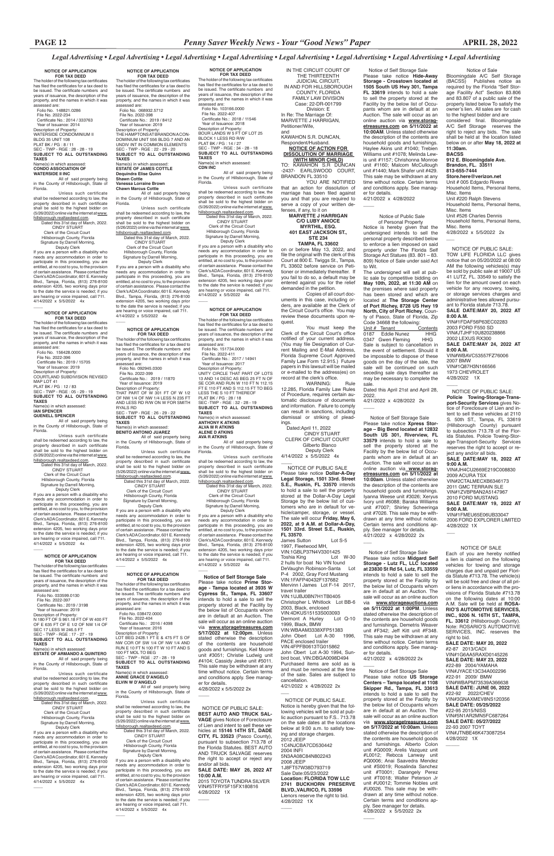**NOTICE OF APPLICATION FOR TAX DEED**

The holder of the following tax certificates has filed the certificates for a tax deed to be issued. The certificate numbers and years of issuance, the description of the property, and the names in which it was assessed are: Folio No. 148821.0286

Florida. Unless such certificate shall be redeemed according to law, the property described in such certificate shall be sold to the highest bidder on Sham be sold to the highhillsborough.realtaxdeed.com.

 File No. 2022-234 Certificate No.: 2014 / 333763 Year of Issuance: 2014 Description of Property: WATERSIDE CONDOMINIUM II

Signature by:Darrell Morning, Deputy Clerk If you are a person with a disability who

BLDG 35 UNIT 108 PLAT BK / PG : 8 / 11 SEC - TWP - RGE : 28 - 28 - 19

**SUBJECT TO ALL OUTSTANDING** 

**TAXES** Name(s) in which assessed: **CONDO ASSOCIATION OF** 

**WATERSIDE II INC** All of said property being in the County of Hillsborough, State of

**FOR TAX DEED**<br>The holder of the following tax certificates<br>has filed the certificates for a tax deed to be issued. The certificate numbers and years of issuance, the description of the property, and the names in which it was

 Dated this 31st day of March, 2022. CINDY STUART Clerk of the Circuit Court Hillsborough County, Florida

needs any accommodation in order to participate in this proceeding, you are entitled, at no cost to you, to the provision of certain assistance. Please contact the Clerk's ADA Coordinator, 601 E. Kennedy Blvd., Tampa, Florida, (813) 276-8100 extension 4205, two working days prior to the date the service is needed; if you are hearing or voice impaired, call 711. 4/14/2022 x 5/5/2022 4x

### **NOTICE OF APPLICATION**

assessed are: Folio No. 156428.0000 File No. 2022-396

 $\overline{\phantom{a}}$ 

Certificate No.: 2019 / 15705 Year of Issuance: 2019 Description of Property:

COURTLAND SUBDIVISION REVISED

MAP LOT 41 PLAT BK / PG : 12 / 83

SEC - TWP - RGE : 05 - 29 - 19 **SUBJECT TO ALL OUTSTANDING** 

**TAXES**

Name(s) in which assessed: **IAN SPENCER QUENELL SPENCER**

All of said property being in the County of Hillsborough, State of Florida.

Unless such certificate shall be redeemed according to law, the property described in such certificate shall be sold to the highest bidder on<br>(5/26/2022) online viathe internet at www. hillsborough.realtaxdeed.com.

 Dated this 31st day of March, 2022. CINDY STUART Clerk of the Circuit Court Hillsborough County, Florida Signature by:Darrell Morning,

If you are a person with a disability who needs any accommodation in order to participate in this proceeding, you are entitled, at no cost to you, to the provision of certain assistance. Please contact the Clerk's ADA Coordinator, 601 E. Kennedy Blvd., Tampa, Florida, (813) 276-8100 extension 4205, two working days prior to the date the service is needed; if you are hearing or voice impaired, call 711. 4/14/2022 x 5/5/2022 4x  $\overline{\phantom{a}}$ 

 Deputy Clerk If you are a person with a disability who needs any accommodation in order to participate in this proceeding, you are entitled, at no cost to you, to the provision of certain assistance. Please contact the Clerk's ADA Coordinator, 601 E. Kennedy Blvd., Tampa, Florida, (813) 276-8100 extension 4205, two working days prior to the date the service is needed; if you are hearing or voice impaired, call 711. 4/14/2022 x 5/5/2022 4x

#### **NOTICE OF APPLICATION FOR TAX DEED**

The holder of the following tax certificates has filed the certificates for a tax deed to be issued. The certificate numbers and years of issuance, the description of the property, and the names in which it was assessed are:

Folio No. 033599.0130 File No. 2022-397

 $\overline{\phantom{a}}$ 

Unless such certificate shall be redeemed according to law, the property described in such certificate shall be sold to the highest bidder on (5/26/2022) online via the internet at <u>www.</u><br><u>hillsborough.realtaxdeed.com</u>.

 Certificate No.: 2019 / 3198 Year of Issuance: 2019 Description of Property: N 180 FT OF S 961.18 FT OF W 400 FT OF E 635 FT OF E 1/2 OF NW 1/4 OF SEC 17 LESS W 246.5 FT

#### SEC - TWP - RGE : 17 - 27 - 19 **SUBJECT TO ALL OUTSTANDING TAXES**

Name(s) in which assessed: **ESTATE OF ARMANDO A QUINTERO** All of said property being in the County of Hillsborough, State of Florida.

Unless such certificate shall be redeemed according to law, the property described in such certificate shall be sold to the highest bidder on (5/26/2022) online via the internet at www. hillsborough.realtaxdeed.com. Dated this 31st day of March, 2022.

 CINDY STUART Clerk of the Circuit Court Hillsborough County, Florida

Certificate No.: 2016 / 4098 Year of Issuance: 2016 Description of Property: LOT BEG 2428.1 FT E & 475 FT S OF NW COR OF SW 1/4 OF NW 1/4 AND RUN E 10 FT N 100 FT W 10 FT AND S 100 FT MOL TO BEG SEC - TWP - RGE : 27 - 28 - 19 **SUBJECT TO ALL OUTSTANDING TAXES**

#### Name(s) in which assessee **ANNIE GRACE D'ANGELO ELVIN W D'ANGELO**

 Signature by:Darrell Morning, Deputy Clerk If you are a person with a disability who needs any accommodation in order to participate in this proceeding, you are entitled, at no cost to you, to the provision of certain assistance. Please contact the Clerk's ADA Coordinator, 601 E. Kennedy Blvd., Tampa, Florida, (813) 276-8100 extension 4205, two working days prior to the date the service is needed; if you are hearing or voice impaired, call 711. 4/14/2022 x 5/5/2022 4x

 $\overline{\phantom{a}}$ 

**FOR TAX DEED**<br>The holder of the following tax certificates<br>has filed the certificates for a tax deed to be issued. The certificate numbers and years of issuance, the description of the property, and the names in which it was assessed are: Folio No. 103166.0000

**NOTICE OF APPLICATION FOR TAX DEED** The holder of the following tax certificates has filed the certificates for a tax deed to be issued. The certificate numbers and years of issuance, the description of the property, and the names in which it was

assessed are: Folio No. 068932.5712 File No. 2022-398 Certificate No.: 2019 / 8412 Year of Issuance: 2019 Description of Property: THE HAMPTONS AT BRANDON A CON-DOMINIUM UNIT 556 BLDG 7 AND AN UNDIV INT IN COMMON ELEMENTS SEC - TWP - RGE : 22 - 29 - 20 **SUBJECT TO ALL OUTSTANDING TAXES** Name(s) in which assessed: **ESTATE OF JAMES COTTLE**

**Dequindra Elise Quinn Shawn Cottle Vanessa Lorraine Brown**

# **Chawn Marcus Cottle**

All of said property being in the County of Hillsborough, State of Florida.

Unless such certificate shall be redeemed according to law, the property described in such certificate shall be sold to the highest bidder on (5/26/2022) online via the internet at www. hillsborough.realtaxdeed.com. Dated this 31st day of March, 2022. CINDY STUART Clerk of the Circuit Court Hillsborough County, Florida Signature by:Darrell Morning, Deputy Clerk

#### **NOTICE OF APPLICATION FOR TAX DEED**

The holder of the following tax certificates has filed the certificates for a tax deed to be issued. The certificate numbers and years of issuance, the description of the property, and the names in which it was assessed are: Folio No. 092945.0300 File No. 2022-399 Certificate No.: 2019 / 11870 Year of Issuance: 2019 Description of Property: THAT PART OF W 301 FT OF W 1/2 OF NW 1/4 OF NW 1/4 LESS N 235 FT AND LESS RD R/W ON W FOR SMITH RYALS RD SEC - TWP - RGE : 26 - 29 - 22 **SUBJECT TO ALL OUTSTANDING TAXES** Name(s) in which assessed: **BENITO ANTONIO JUAREZ**

You must keep the Clerk of the Circuit Court's office notified of your current address. (You may file Designation of Current Mailing and E-Mail Address, Florida Supreme Court Approved Family Law Form 12.915.) Future papers in this lawsuit will be mailed or e-mailed to the address(es) on record at the clerk's office.<br>WARNING:

All of said property being in the County of Hillsborough, State of Florida.

> 4/14/2022 x 5/5/2022 4x  $\overline{\phantom{a}}$

 Dated this 31st day of March, 2022. CINDY STUART Clerk of the Circuit Court

 Hillsborough County, Florida Signature by:Darrell Morning, Deputy Clerk

If you are a person with a disability who needs any accommodation in order to participate in this proceeding, you are entitled, at no cost to you, to the provision of certain assistance. Please contact the Clerk's ADA Coordinator, 601 E. Kennedy Blvd., Tampa, Florida, (813) 276-8100 extension 4205, two working days prior to the date the service is needed; if you are hearing or voice impaired, call 711. 4/14/2022 x 5/5/2022 4x

# **NOTICE OF APPLICATION FOR TAX DEED**

 $\overline{\phantom{a}}$ 

The holder of the following tax certificates has filed the certificates for a tax deed to be issued. The certificate numbers and years of issuance, the description of the property, and the names in which it was assessed are: Folio No. 038472.0000 File No. 2022-404

4/21/2022 x 4/28/2022  $\overline{\phantom{a}}$ 

All of said property being in the County of Hillsborough, State of Florida.

Unit # Tenant Contents<br>0187 Eddie Nunez HHG Eddie Nunez<br>Eddie Nunez HHG<br>Gwen Fleming HHG 0347 Gwen Fleming Sale is subject to cancellation in the event of settlement. Should it be impossible to dispose of these goods on the day of the sale, the sale will be continued on such seceding sale days thereafter as may be necessary to complete the sale.

4/21/2022 x 4/28/2022 2x  $\overline{\phantom{a}}$ 

Unless such certificate shall be redeemed according to law, the property described in such certificate shall be sold to the highest bidder on (5/26/2022) online via the internet at www. hillsborough.realtaxdeed.com.

 Dated this 31st day of March, 2022. CINDY STUART Clerk of the Circuit Court Hillsborough County, Florida Signature by:Darrell Morning, Deputy Clerk

If you are a person with a disability who eds any accommodation in order to participate in this proceeding, you are entitled, at no cost to you, to the provision of certain assistance. Please contact the Clerk's ADA Coordinator, 601 E. Kennedy Blvd., Tampa, Florida, (813) 276-8100 extension 4205, two working days prior to the date the service is needed; if you are hearing or voice impaired, call 711. 4/14/2022 x 5/5/2022 4x

 $\overline{\phantom{a}}$ 

# **NOTICE OF APPLICATION**

 File No. 2022-407 Certificate No.: 2018 / 11546 Year of Issuance: 2018 Description of Property: BOUR LANDS W 5 FT OF LOT 25 BLOCK 1 LESS RD R/W PLAT BK / PG : 14 / 27 SEC - TWP - RGE : 34 - 28 - 18 **SUBJECT TO ALL OUTSTANDING TAXES**

Name(s) in which assessed:

**CDN INC** All of said property being in the County of Hillsborough, State of Florida.

Unless such certificate shall be redeemed according to law, the property described in such certificate shall be sold to the highest bidder on (5/26/2022) online via the internet at www. hillsborough.realtaxdeed.com. Dated this 31st day of March, 2022.

 CINDY STUART Clerk of the Circuit Court Hillsborough County, Florida Signature by:Darrell Morning, **Store.here@verizon.net** Unit # 005 Edgardo Rivera Household Items, Personal Items, Misc. Items Unit #220 Ralph Stevens Household Items, Personal Items, Misc. Items Unit #526 Charles Dennis Household Items, Personal Items, Misc. Items 4/28/2022 x 5/5/2022 2x  $\overline{\phantom{a}}$ 

 Deputy Clerk If you are a person with a disability who needs any accommodation in order to participate in this proceeding, you are entitled, at no cost to you, to the provision of certain assistance. Please contact the Clerk's ADA Coordinator, 601 E. Kennedy Blvd., Tampa, Florida, (813) 276-8100 extension 4205, two working days prior to the date the service is needed; if you are hearing or voice impaired, call 711. 4/14/2022 x 5/5/2022 4x

# **NOTICE OF APPLICATION FOR TAX DEED**

 $\overline{\phantom{a}}$ 

The holder of the following tax certificates has filed the certificates for a tax deed to be issued. The certificate numbers and years of issuance, the description of the property, and the names in which it was assessed are: Folio No. 151734.0000 File No. 2022-411 Certificate No.: 2017 / 14941 Year of Issuance: 2017 Description of Property: UNITY CIRCLE THAT PART OF LOTS 13 AND 14 DESC AS BEG 25 FT N OF SE COR AND RUN W 110 FT N 112.15 FT E 110 FT AND S 112.15 FT TO BEG LESS THE S 10 FT THEREOF PLAT BK / PG : 28 / 18 SEC -TWP - RGE : 32 - 28 - 19

> 4/28/2022 1X  $\overline{\phantom{a}}$

2007 BMW VIN#1Q87H3N166566 1973 CHEVROLET 4/28/2022 1X  $\overline{\phantom{a}}$ 

**SUBJECT TO ALL OUTSTANDING TAXES** Name(s) in which assessed: **ANTHONY K ATKINS**

**ALVA M R ATKINS ALENE D ATKINS AVA R ATKINS**

All of said property being in the County of Hillsborough, State of Florida.

Unless such certificate shall be redeemed according to law, the property described in such certificate shall be sold to the highest bidder on (5/26/2022) online via the internet at www. hillsborough.realtaxdeed.com. Dated this 31st day of March, 2022. CINDY STUART

 Clerk of the Circuit Court Hillsborough County, Florida Signature by:Darrell Morning,

 Deputy Clerk If you are a person with a disability who needs any accommodation in order to participate in this proceeding, you are entitled, at no cost to you, to the provision of certain assistance. Please contact the Clerk's ADA Coordinator, 601 E. Kennedy Blvd., Tampa, Florida, (813) 276-8100 extension 4205, two working days prior to the date the service is needed; if you are hearing or voice impaired, call 711. 4/14/2022 x 5/5/2022 4x

 $\overline{\phantom{a}}$  **Notice of Self Storage Sale** Please take notice **Prime Storage - Tampa located at 3935 W Cypress St., Tampa, FL 33607**  intends to hold a sale to sell the property stored at the Facility by the below list of Occupants whom are in default at an Auction. The sale will occur as an online auction via **www.storagetreasures.com 5/17/2022 at 12:00pm**. Unless stated otherwise the description of the contents are household goods and furnishings. Keil Moore unit #3051; Christie Ludwig unit #4104; Cassidy Jeske unit #5011. This sale may be withdrawn at any time without notice. Certain terms and conditions apply. See manager for details. 4/28/2022 x 5/5/2022 2x  $\overline{\phantom{a}}$ 

IN THE CIRCUIT COURT OF THE THIRTEENTH JUDICIAL CIRCUIT, IN AND FOR HILLSBOROUGH COUNTY, FLORIDA FAMILY LAW DIVISION Case: 22-DR-001799 Division: E

In Re: The Marriage Of: MARVETTE J HARRIGAN, Petitioner/Wife, and

KAWAHON S.R. DUNCAN, Respondent/Husband. **NOTICE OF ACTION FOR DISSOLUTION OF MARRIAGE** 

**(WITH MINOR CHILD)** TO: KAWAHON S.R DUNCAN -2437- EARLSWOOD COURT, BRANDON FL 33510

YOU ARE NOTIFIED that an action for dissolution of marriage has been filed against you and that you are required to serve a copy of your written defenses, if any, to it on

#### **MARVETTE J HARRIGAN C/O LUBY ANIOCE MYRTHIL, ESQ. 401 EAST JACKSON ST., STE 234 TAMPA, FL 33602**

on or before May 13, 2022, and file the original with the clerk of this Court at 800 E. Twiggs St., Tampa, FL 33602 before service on Petitioner or immediately thereafter. If you fail to do so, a default may be entered against you for the relief demanded in the petition.

Copies of all court documents in this case, including orders, are available at the Clerk of the Circuit Court's office. You may review these documents upon request.

WARNING: Rule 12.285, Florida Family Law Rules of Procedure, requires certain automatic disclosure of documents and information. Failure to comply can result in sanctions, including dismissal or striking of plead-

ings. Dated:April 11, 2022

 CINDY STUART CLERK OF CIRCUIT COURT Gilberto Blanco Deputy Clerk

 NOTICE OF PUBLIC SALE Please take notice **Dollar-A-Day Legal Storage, 1501 33rd. Street S.E., Ruskin, FL 33570** intends to hold a sale to sell the property stored at the Dollar-A-Day Legal Storage by the below list of customers who are in default for vehicle/camper, storage, or vessel. The sale will occur **Friday, May 6, 2022, at 9 A.M. at Dollar-A-Day, 1501 33rd. Street S.E., Ruskin, FL 33570**. James Sutton Lot S-5 1997, Fleetwood MH, VIN:1GBLP37N4V3301425 Toshia King 2 hulls for boat No VIN found DeVaughn Robinson-Santa Lot P-4 2002, Gray Ford Mustang

VIN:1FAFP40432F137682 Mervinn I James Lot F-14 2017, travel trailer VIN:1UJBJ0BN7H1TB0405 Christopher L Whitlock Lot BB-6 2003, Black, enclosed VIN:4DKUS15153S003093 Dermont A Hurley 1999, Black, BMW

VIN:WBAAM3338XFP51383 John Obert Lot A-30 PACE enclosed trailer VIN:4FPFB0613TG015862 John Obert Lot A-30 1994, Sunbird boat, VIN:DBGA0098D494 Purchased items are sold as is and must be removed at the time of the sale. Sales are subject to cancellation. 4/21/2022 x 4/28/2022 2x

 Notice of Self Storage Sale Please take notice **Hide-Away Storage - Crosstown located at 1505 South US Hwy 301, Tampa FL 33619** intends to hold a sale to sell the property stored at the Facility by the below list of Occupants whom are in default at an Auction. The sale will occur as an online auction via **www.storag-etreasures.com on 5/11/2022 at 10:00AM**. Unless stated otherwise the description of the contents are household goods and furnishings. Haylee Akins unit #1040; Trebien Williams unit #1078; Melinda Lewis unit #1157; Chrishonna Monroe unit #1160; Malcom McCullough unit #1440; Mark Shafer unit #429. This sale may be withdrawn at any time without notice. Certain terms and conditions apply. See manager for details.

#### Notice of Public Sale of Personal Property

Notice is hereby given that the undersigned intends to sell the personal property described below to enforce a lien imposed on said property under The Florida Self Storage Act Statues (83. 801 – 83. 809) Notice of Sale under said Act to Wit.

The undersigned will sell at public sale by competitive bidding on **May 10th, 2022, at 11:30 AM** on the premises where said property has been stored and which are located at **The Storage Center of Port Richey, 8728 US Hwy 19 North, City of Port Richey**, County of Pasco, State of Florida, Zip Code 34668 the following:

Dated this April 21st and April 28, 2022.

 Notice of Self Storage Sale Please take notice **Xpress Storage – Big Bend located at 12832 South US 301, Riverview, FL 33579** intends to hold a sale to sell the property stored at the Facility by the below list of Occupants whom are in default at an Auction. The sale will occur as an online auction via **www.storagetreasures.com on 5/11/2022 at 10:00am**. Unless stated otherwise the description of the contents are household goods and furnishings. Iyanna Weese unit #3026; Xeryus Ivory unit #6088; Baraka Williams unit #7007; Shirley Scheeringa unit #7026. This sale may be withdrawn at any time without notice. Certain terms and conditions apply. See manager for details. 4/21/2022 x 4/28/2022 2x

 Notice of Self Storage Sale Please take notice **Midgard Self Storage - Lutz FL, LLC located at 23830 St Rd 54, Lutz, FL 33559**  intends to hold a sale to sell the property stored at the Facility by the below list of Occupants whom are in default at an Auction. The sale will occur as an online auction via **www.storageauctions.com on 5/11/2022 at 1:00PM**. Unless stated otherwise the description of the contents are household goods and furnishings. Demetris Weaver

 $\overline{\phantom{a}}$ 

 $\overline{\phantom{a}}$ 

 $\overline{\phantom{a}}$ 

unit #F342; Jeff Kitt unit #F348. This sale may be withdrawn at any time without notice. Certain terms and conditions apply. See manager for details. 4/21/2022 x 4/28/2022 2x

 Notice of Self Storage Sale Please take notice **US Storage Centers – Tampa located at 1108 Skipper Rd., Tampa, FL 33613**  intends to hold a sale to sell the property stored at the Facility by the below list of Occupants whom are in default at an Auction. The sale will occur as an online auction via **www.storagetreasures.com on 5/17/2022 at 10:00am**. Unless stated otherwise the description of the contents are household goods and furnishings. Alberto Colon unit #G0009; Arelis Vazquez unit #L0012; Rebcca Lanway unit #Q0006; Anai Saavedra Mendez unit #S0019; Rosalinda Sanchez unit #T0001; Darangely Perez unit #T0018; Walter Peterson Jr unit #U0012; Tommie Nobles unit #U0026. This sale may be withdrawn at any time without notice. Certain terms and conditions apply. See manager for details. 4/28/2022 x 5/5/2022 2x

 NOTICE OF PUBLIC SALE: **BEST AUTO AND TRUCK SAL-VAGE** gives Notice of Foreclosure of Lien and intent to sell these vehicles at **15146 14TH ST., DADE CITY, FL 33523** (Pasco County), pursuant to subsection 713.78 of the Florida Statutes. BEST AUTO AND TRUCK SALVAGE reserves the right to accept or reject any and/or all bids. **SALE DATE: MAY 26, 2022 AT** 

**10:00 A.M.** 2015 TOYOTA TUNDRA SILVER VIN#5TFRY5F15FX180816 4/28/2022 1X

 $\overline{\phantom{a}}$ 

#### Notice of Sale

Bloomingdale A/C Self Storage (BACSS) Publishes notice as required by the Florida "Self Storage Facility Act" Section 83.806 and 83.807 of a public sale of the property listed below To satisfy the owner's lien. All sales are for cash to the highest bidder and are considered final. Bloomingdale A/C Self Storage reserves the right to reject any bids. The sale shall be held at the location listed below on or after **May 18, 2022 at 11:30am. BACSS**

#### **912 E. Bloomingdale Ave. Brandon, FL. 33511 813-655-7444**

 NOTICE OF PUBLIC SALE. Notice is hereby given that the following vehicles will be sold at public auction pursuant to F.S.. 713.78 on the sale dates at the locations below at 9:00 a.m. to satisfy towing and storage charges. 2012 JEEP 1C4NJCBA7CD530442 2004 INFI 5N3AA08C84N802243 2008 JEEP 1J8FT57W38D793719 Sale Date:05/23/2022 **Location: FLORIDA TOW LLC 2741 BUCKHORN PRESERVE BLVD.,VALRICO, FL 33596** Lienors reserve the right to bid.

4/28/2022 1X

 $\overline{\phantom{a}}$ 

 $\overline{\phantom{a}}$ 

 NOTICE OF PUBLIC SALE: **Policie Towing-Storage-Transport-Security Services** gives Notice of Foreclosure of Lien and intent to sell these vehicles at 2110 50th ST., Tampa, FL 33619 (Hillsborough County) pursuant to subsection 713.78 of the Florida Statutes. Policie Towing-Storage-Transport-Security Services reserves the right to accept or reject any and/or all bids. **SALE DATE:MAY 18, 2022 AT** 

**9:00 A.M.**

VIN#JH4CU2669E219C008830

2009 ACURA TSX VIN#2CTALMECXB6346173 2011 GMC TERRAIN SLE VIN#1ZVBP8AN2A5147967 2010 FORD MUSTANG **SALE DATE:MAY 19, 2022 AT** 

**9:00 A.M.**

VIN#1FMEU65E06UB33047 2006 FORD EXPLORER LIMITED

 NOTICE OF PUBLIC SALE: TOW LIFE FLORIDA LLC gives notice that on 05/20/2022 at 08:00 AM the following vehicles(s) may be sold by public sale at 19007 US 41 LUTZ, FL. 33549 to satisfy the lien for the amount owed on each vehicle for any recovery, towing, or storage services charges and administrative fees allowed pursuant to Florida statute 713.78. **SALE DATE:MAY 20, 2022 AT 8:00 A.M.** VIN#1FDAF56P63EC02283 2003 FORD F550 SD VIN#JTJHF10U820238866

2002 LEXUS RX300

**SALE DATE:MAY 24, 2022 AT** 

**8:00 A.M.**

VIN#WBAVC53557FZ76006

 NOTICE OF SALE Each of you are hereby notified a lien is claimed on the following vehicles for towing and storage charges due and unpaid per Florida Statute #713.78. The vehicle(s) will be sold free and clear of all prior liens in accordance with the provisions of Florida Statute #713.78 on the following dates at 10:00 A.M. Sale will be held at **ROSA-RIO'S AUTOMOTIVE SERVICES, INC., 9206 N. 16TH ST., TAMPA, FL. 33612** (Hillsborough County).

Note: ROSARIO'S AUTOMOTIVE SERVICES, INC. reserves the right to bid.

**SALE DATE: MAY 20, 2022** #2-87 2013/CADI VIN#1G6AA5RAXD0145226 **SALE DATE: MAY 23, 2022** #22-89 2004/YAMAHA VIN#JYACE13C34A002296 #22-91 2009/ BMW VIN#WBAPM73539A366638 **SALE DATE: JUNE 06, 2022** #22-92 2022/CHEV VIN#3GNAXMEV8NS120356 **SALE DATE: 05/25/2022** #22-95 2015/NISS VIN#5N1AR2MN5FC687264 **SALE DATE: 05/27/2022** 22-93 2007 TOYT VIN#JTNBE46K473087254 4/28/2022 1X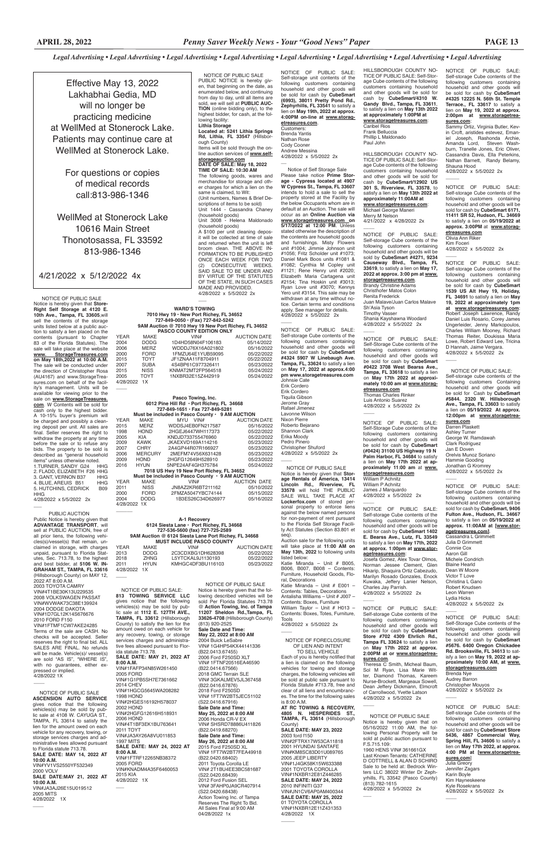NOTICE OF PUBLIC SALE Notice is hereby given that **Store-Right Self Storage at 4120 E. 10th Ave., Tampa, FL 33605**,will sell the contents of the storage units listed below at a public auction to satisfy a lien placed on the contents (pursuant to Chapter 83 of the Florida Statutes). The sale will take place at the website<br>www. StorageTreasures.com **www. StorageTreasures.com on May 18th,2022 at 10:00 A.M.** The sale will be conducted under the direction of Christopher Rosa (AU4167) and www.StorageTreasures.com on behalf of the facility's management. Units will be available for viewing prior to the sale on **www.StorageTreasures. com**. W Contents will be sold for cash only to the highest bidder. A 10-15% buyer's premium will be charged and possibly a cleaning deposit per unit. All sales are final. Seller reserves the right to withdraw the property at any time before the sale or to refuse any bids. The property to be sold is described as "general household items" unless otherwise noted. 1.TURNER, SANDY G24 HHG 2. FLADD, ELIZABETH F26 HHG<br>3. GANT, VERNON B37 HHG 3. GANT, VERNON B37 HHG<br>4. BLUE. AREUIS B51 HHG

## *Legal Advertising • Legal Advertising • Legal Advertising • Legal Advertising • Legal Advertising • Legal Advertising • Legal Advertising • Legal Advertising*

4. BLUE, AREUIS B51 HHG<br>5. HUTCHINS, CEDRICK B09 5. HUTCHINS, CEDRICK HHG

NOTICE OF PUBLIC SALE

PUBLIC NOTICE is hereby given, that beginning on the date, as enumerated below, and continuing from day to day, until all items are sold, we will sell at **PUBLIC AUC-TION** (online bidding only), to the highest bidder, for cash, at the following facility: **Lithia Storage Located at: 5241 Lithia Springs Rd, Lithia, FL 33547** (Hillsborough County) Items will be sold through the on-line auction services of **www.selfstorageauction.com DATE OF SALE: May 18, 2022 TIME OF SALE: 10:30 AM** The following goods, wares and merchandise for storage and other charges for which a lien on the same is claimed, to Wit: (Unit numbers, Names & Brief Descriptions of items to be sold) Unit 1444 - Cassandra Chaney (household goods) Unit 3008 - Helena Maldonado (household goods) A \$100 per unit cleaning deposit will be collected at time of sale and returned when the unit is left broom clean. THE ABOVE IN-FORMATION TO BE PUBLISHED ONCE EACH WEEK FOR TWO (2) CONSECUTIVE WEEKS. SAID SALE TO BE UNDER AND BY VIRTUE OF THE STATUTES OF THE STATE, IN SUCH CASES MADE AND PROVIDED. 4/28/2022 x 5/5/2022 2x  $\overline{\phantom{a}}$ **WARD'S TOWING**

Effective May 13, 2022 Lakhabhai Gedia, MD will no longer be practicing medicine at WellMed at Stonerock Lake. Patients may continue care at WellMed at Stonerock Lake.

> For questions or copies of medical records call:813-986-1346

WellMed at Stonerock Lake 10616 Main Street Thonotosassa, FL 33592 813-986-1346

 $\overline{\phantom{a}}$ 

 $\overline{\phantom{a}}$ 

 $\overline{\phantom{a}}$ 

# 4/21/2022 x 5/12/2022 4x

#### **7010 Hwy 19 • New Port Richey, FL 34652 727-849-0050 • (Fax) 727-842-5242 9AM Auction @ 7010 Hwy 19 New Port Richey, FL 34652 PASCO COUNTY EDITION ONLY**

NOTICE OF PUBLIC SALE: Self-storage Cube contents of the following customers containing household and other goods will be sold by **CubeSmart #4271, 9234 Causeway Blvd., Tampa, FL 33619**, to satisfy a lien on **May 17, 2022 at approx. 3:00 pm at www. storagetreasures.com**. Brandy Christine Adams Christhofer Matos Colon Renita Frederick Juan Malave/Juan Carlos Malave Sh'Asia Tyson Timothy Vasser Shania Kayshawna Woodard 4/28/2022 x 5/5/2022 2x  $\overline{\phantom{a}}$ 

| <b>YEAR</b> | MAKE        | VIN#              | <b>AUCTION DATE</b> |
|-------------|-------------|-------------------|---------------------|
| 2004        | <b>DODG</b> | 1D4HD58N04F106183 | 05/14/2022          |
| 2006        | <b>MERZ</b> | WDDDJ76X16A021802 | 05/16/2022          |
| 2000        | <b>FORD</b> | 1FMZU64E1YUB59095 | 05/22/2022          |
| 2015        | <b>TOYT</b> | JF1ZNAA11F8704911 | 05/22/2022          |
| 2007        | <b>SUBA</b> | 4S4BP61C977326411 | 05/23/2022          |
| 2015        | <b>NISS</b> | KNMAT2MT2FP564518 | 05/24/2022          |
| 2005        | TOYT        | 1NXBR32E15Z442919 | 05/24/2022          |
| 4/28/2022   | 1 X         |                   |                     |

NOTICE OF PUBLIC SALE: Self-Storage Cube contents of the following customers containing household and other goods will be sold for cash by **CubeSmart #0422 3708 West Bearss Ave., Tampa, FL 33618** to satisfy a lien on **May 17th 2022 at approximately 10:00 am at www.storagetreasures.com** Thomas Charles Rinker Luis Antonio Suarez 4/28/2022 x 5/5/2022 2x  $\overline{\phantom{a}}$ 

4/28/2022 x 5/5/2022 2x  $\overline{\phantom{a}}$  PUBLIC AUCTION Public Notice is hereby given that **ADVANTAGE TRANSPORT**, will sell at PUBLIC AUCTION, free of all prior liens, the following vehicles(s)/vessel(s) that remain, unclaimed in storage, with charges unpaid, pursuant to Florida Statutes, Sec. 713.78, to the highest and best bidder, at **5106 W. IN-GRAHAM ST., TAMPA, FL 33616**  (Hillsborough County) on MAY 12, 2022 AT 8:00 A.M. 2003 TOYOTA CAMRY VIN#4T1BE30K13U229535 2008 VOLKSWAGEN PASSAT VIN#WVWAK73C38E139924 2004 DODGE DAKOTA VIN#1D7GL12K14S676676 2010 FORD F150 VIN#1FTMF1CW7AKE24285 Terms of the sale are CASH. No checks will be accepted. Seller reserves the right to final bid. ALL SALES ARE FINAL. No refunds will be made. Vehicle(s)/ vessel(s) are sold "AS IS", "WHERE IS", with no guarantees, either expressed or implied. 4/28/2022 1X

#### **Pasco Towing, Inc. 6012 Pine Hill Rd • Port Richey, FL 34668 727-849-1651 • Fax 727-849-5281 Must be included in Pasco County • 9 AM AUCTION**

James J Marquardo 4/28/2022 x 5/5/2022 2x  $\overline{\phantom{a}}$ 

| <b>YEAR</b>                                     | <b>MAKE</b>    | <b>MYU</b><br>VIN# | <b>AUCTION DATE</b> |  |  |  |
|-------------------------------------------------|----------------|--------------------|---------------------|--|--|--|
| 2015                                            | <b>MERZ</b>    | WDDSJ4EB0FN217587  | 05/16/2022          |  |  |  |
| 1998                                            | <b>HOND</b>    | 2HGEJ6447WH117373  | 05/22/2022          |  |  |  |
| 2005                                            | <b>KIA</b>     | KNDJD733755476960  | 05/22/2022          |  |  |  |
| 2009                                            | <b>KAWK</b>    | JKAEXVD169A114216  | 05/23/2022          |  |  |  |
| 2007                                            | <b>CHRY</b>    | 2A4GP44R07R166927  | 05/23/2022          |  |  |  |
| 2006                                            | <b>MERCURY</b> | 2MEFM74V56X631428  | 05/23/2022          |  |  |  |
| 2009                                            | <b>HOND</b>    | 2HGFG12649H528910  | 05/23/2022          |  |  |  |
| 2016                                            | <b>HYUN</b>    | 5NPE24AF4GH375784  | 05/24/2022          |  |  |  |
| 7018 US Hwy 19 New Port Richey, FL 34652        |                |                    |                     |  |  |  |
| Must be included in Pasco County · 9 AM AUCTION |                |                    |                     |  |  |  |
| <b>YEAR</b>                                     | MAKE           | VIN#               | <b>AUCTION DATE</b> |  |  |  |
| 2011                                            | <b>NISS</b>    | JN8AZ2KR6BT211162  | 05/10/2022          |  |  |  |
| 2000                                            | <b>FORD</b>    | 2FMZA5047YBC74144  | 05/15/2022          |  |  |  |
| 2004                                            | <b>DODG</b>    | 1B3ES26C34D626977  | 05/16/2022          |  |  |  |
| 4/28/2022<br>1X                                 |                |                    |                     |  |  |  |

Theresa C Smith, Micheal Baum. Sol M Ryan, Lisa Marie Witter, Diamond Thomas, Kareem Nurse-Brockett, Margeaux Sowell, Dean Jeffery Dickmann, Elmcroft of Carrollwood, Yvette Latson 4/28/2022 x 5/5/2022 2x

#### **A-1 Recovery 6124 Siesta Lane • Port Richey, FL 34668 727-536-5600 (fax) 727-725-2589 9AM Auction @ 6124 Siesta Lane Port Richey, FL 34668 MUST INCLUDE PASCO COUNTY**

| YFAR         | MAKF        | VIN#              | <b>AUCTION DATE</b> |
|--------------|-------------|-------------------|---------------------|
| 2013         | DODG.       | 2C3CDXBG1DH628398 | 05/22/2022          |
| 2018         | <b>ZHNG</b> | L5YTCKAL9J1130193 | 05/22/2022          |
| 2011         | <b>HYUN</b> | KMHGC4DF3BU116103 | 05/23/2022          |
| 4/28/2022 1X |             |                   |                     |
|              |             |                   |                     |

Sammy Ortiz, Virginia Butler, Kevin Croft, aristides estevez, Emaniel Joseph, Rashonda Archie, Amanda Lord, Steven Washburn, Tranelle Jones, Eric Oliver, Cassandra Davis, Ella Peterkins, Nathan Barnett, Randy Belamy, Shauna Hood

4/28/2022 x 5/5/2022 2x  $\overline{\phantom{a}}$ 

NOTICE OF PUBLIC SALE: Self-storage Cube contents of the following customers containing household and other goods will be sold for cash by **CubeSmart 1539 US Alt Hwy 19, Holiday, FL 34691** to satisfy a lien on **May 19, 2022 at approximately 1pm at www.storagetreasures.com**: Robert Joseph Lawrence, Randy Daniel Luis Rosario, Corey James Ungerleider, Jenny Markopoulos, Charles William Mooney, Richard Thomas Reiter, Doukissa Maria Lowe, Robert Edward Lee, Tricina D Hannah, Jaime Vergara. 4/28/2022 x 5/5/2022 2x  $\overline{\phantom{a}}$ 

 NOTICE OF PUBLIC SALE: Self-storage cube contents of the following customers Containing household and other goods will be sold for Cash by **CubeSmart #5844. 2320 W. Hillsborough Ave., Tampa, FL 33603** to satisfy a lien on **05/19/2022 At approx. 12:00pm at www.storagetreasures.com** Darren Plaskett Ashley Turner George W. Ramdawah Clark Rodriguez Jan E Doven Orelvis Munoz Soriano Hammie Gooding Jonathan G Kromrey 4/28/2022 x 5/5/2022 2x  $\overline{\phantom{a}}$ 

HILLSBOROUGH COUNTY NO-

TICE OF PUBLIC SALE: Self-Storage Cube contents of the following customers containing household and other goods will be sold for cash by **CubeSmart/4310 W. Gandy Blvd., Tampa, FL 33611**, to satisfy a lien on **May 13th 2022 at approximately 1:00PM at www.storagetreasures.com**: Caribel Rios Frank Belluccia Phillip L Maldonado Paul John

HILLSBOROUGH COUNTY NO-TICE OF PUBLIC SALE: Self-Storage Cube contents of the following customers containing household and other goods will be sold for cash by **CubeSmart/12902 US 301 S, Riverview, FL 33578**, to satisfy a lien on **May 13th 2022 at approximately 11:00AM at www.storagetreasures.com**: Michael George Maneri Merry M Nelson 4/21/2022 x 4/28/2022 2x

 $\overline{\phantom{a}}$ 

 NOTICE OF PUBLIC SALE: **813 TOWING SERVICE LLC**  gives notice that the following vehicles(s) may be sold by public sale at **1112 E. 127TH AVE., TAMPA, FL 33612** (Hillsborough County) to satisfy the lien for the amount owed on each vehicle to any recovery, towing, or storage services charges and administrative fees allowed pursuant to Florida statute 713.78. **SALE DATE: MAY 21, 2022 AT 8:00 A.M.** VIN#1FAFP34N85W261450 2005 FORD VIN#1G1PB5SH7E7361662 2014 CHEV VIN#1HGCG5645WA208282 1998 HOND VIN#2HGES16192H578037 2002 HOND VIN#2HGFG12616H518931 2006 HOND VIN#4T1BF3EK1BU763641 2011 TOYT VIN#JA3AY26A8VU011853 1997 MITS **SALE DATE: MAY 24, 2022 AT 8:00 A.M.** VIN#1FTRF12265NB38372 2005 FORD VIN#KNADM4A35F6460053 2015 KIA 4/28/2022 1X  $\overline{\phantom{a}}$ 

(813) 920-2525 **Reand Tiru**  Please take notice **Prime Storage - Cypress located at 4907 W Cypress St., Tampa, FL 33607**  intends to hold a sale to sell the property stored at the Facility by the below Occupants whom are in default at an Auction. The sale will occur as an **Online Auction via**  www.storagetreasures.com\_on **5/17/2022 at 12:00 PM**. Unless stated otherwise the description of the contents are household goods and furnishings. Misty Flowers unit #1004; Jimmie Johnson unit #1056; Fritz Scholder unit #1073; Daniel Mark Boos units #1081 & #1082; Cynthia M Copley unit #1121; Rene Henry unit #2020; Elizabeth Maria Cartagena unit #2154; Tina Hoskin unit #3013; Ryan Love unit #3070; Kennys Yero unit #3154. This sale may be withdrawn at any time without notice. Certain terms and conditions apply. See manager for details. 4/28/2022 x 5/5/2022 2x  $\overline{\phantom{a}}$ 

> NOTICE OF PUBLIC SALE: Self-Storage Cube contents of the following customers containing household and other goods will be sold for cash by **CubeSmart (#0424) 31100 US Highway 19 N Palm Harbor, FL 34684** to satisfy a lien on **May 17th 2022 at approximately 11:00 am** at **www. storagetreasures.com** William P Achnitz William P Achnitz

NOTICE OF PUBLIC SALE: Self-storage Cube contents of the following customers containing household and other goods will be sold for cash by **CubeSmart 1402 E. Bearss Ave., Lutz, FL 33549** to satisfy a lien on **May 17th, 2022 at approx. 1:00pm at www.storagetreasures.com**: Josefa Gomez, Alex Tovar Olmos,

Rafael Jimenez Lavonne Wilson Nixon Pierre Roberto Bejarano Shannon Clark Erika Moody Pedro Pinero Christopher Shuford 4/28/2022 x 5/5/2022 2x  $\overline{\phantom{a}}$ 

> Norman Jessee Clement, Glen Hikarip, Shaquira Ortiz Cabezudo, Marilyn Rosado Gonzales, Enock Kuwaka, Jeffery Lanier Nelson, Charles Jay Parrish. 4/28/2022 x 5/5/2022 2x

NOTICE OF PUBLIC SALE: Self-storage Cube contents of the following customers containing household and other goods will

#### be sold for cash by **CubeSmart Store #702 4309 Ehrlich Rd., Tampa FL 33624** to satisfy a lien on **May 17th 2022 at approx. 2:00PM at or www.storagetrea-**

#### **sures.com**.

 $\overline{\phantom{a}}$ 

 $\overline{\phantom{a}}$ 

Each of you is hereby notified that a lien is claimed on the following vehicles for towing and storage charges, the following vehicles will be sold at public sale pursuant to Florida Statute #713.78, free and clear of all liens and encumbrances. The time for the following sales  $ie$   $R:00 \triangle M$ 

NOTICE OF PUBLIC SALE: Self-storage Cube contents of the following customers containing household and other goods will be sold for cash by **CubeSmart #4325 12225 N. 56th St. Temple Terrace., FL 33617** to satisfy a lien on **May 19, 2022 at approx. 2:00pm at www.storagetreasures.com**:

 NOTICE OF PUBLIC SALE Notice is hereby given that on 05/16/2022 11:00 AM, the following Personal Property will be sold at public auction pursuant to F.S.715.109: 1960 HENS VIN# 361661GX Last Known Tenants: CATHERINE D COTTRELL & ALAN D SCHIRO Sale to be held at: Bedrock Winters LLC 38022 Winter Dr Zephyrhills, FL 33542 (Pasco County) (813) 782-1615 4/28/2022 x 5/5/2022 2x  $\overline{\phantom{a}}$ 

4/28/2022 x 5/5/2022 2x

 $\overline{\phantom{a}}$ 

NOTICE OF PUBLIC SALE: Self-storage Cube contents of the following customers containing household and other goods will be sold for cash by **CubeSmart 6171, 11411 SR 52, Hudson, FL. 34669**  to satisfy a lien on **05/19/2022 at approx. 3:00PM** at **www.storagetreasures.com** Olivia Ann Riker

Kim Foceri

NOTICE OF PUBLIC SALE: Self-storage Cube contents of the following customers containing household and other goods will be sold for cash by **CubeSmart, 9406 Fulton Ave., Hudson, FL. 34667**  to satisfy a lien on **05/19/2022 at approx. 11:00AM at [www.storagetreasures.com]**.

Cassandra L Grimmett Julia D Grimmett Connie Cox Aaron Gill Michele Condrich Blaine Hearld Dean W Moore Victor T Love Christina L Gano Robert Knudsen Leon Warren Lydia Hicks 4/28/2022 x 5/5/2022 2x

 $\overline{\phantom{a}}$ 

NOTICE OF PUBLIC SALE: Self-Storage Cube contents of the

following customers containing household and other goods will be sold for cash by **CubeSmart #5676. 6400 Oregon Chickadee Rd. Brooksville, FL 34613** to satisfy a lien on **May 19, 2022 at approximately 10:00 AM, at www.**

#### **storagetreasures.com**

 $\overline{\phantom{a}}$ 

 $\overline{\phantom{a}}$ 

Brenda Nye Audrey Barron Christopher Mouyos 4/28/2022 x 5/5/2022 2x

NOTICE OF PUBLIC SALE: Self-storage Cube contents of the following customers containing household and other goods will be sold for cash by **CubeSmart Store 5436, 4867 Commercial Way, Spring Hill, FL 34606** to satisfy a lien on **May 17th 2022, at approx. 4:00 PM at [www.storagetreasures.com**]

Julia Greory Jennifer Zagars Karin Boyle Kim Hayneskeene Kyle Rosekrans 4/28/2022 x 5/5/2022 2x

NOTICE OF PUBLIC SALE: Self-storage unit contents of the

following customers containing household and other goods will be sold for cash by **CubeSmart (6993), 38011 Pretty Pond Rd., Zephyrhills, FL 33541** to satisfy a lien on **May 19th, 2022 at approx. 4:00PM on-line at www.storagetreasures.com**. Customers: Brenda Yantis Nathan Rose Cody Cooner Andrew Messina 4/28/2022 x 5/5/2022 2x  $\overline{\phantom{a}}$ Notice of Self Storage Sale

NOTICE OF PUBLIC SALE Notice is hereby given that the following described vehicles will be sold Per Florida Statutes 713.78 @ **Action Towing, Inc. of Tampa 11207 Sheldon Rd.,Tampa, FL 33626-4708** (Hillsborough County)

**May 22, 2022 at 8:00 AM** 2004 Buick LeSabre VIN# 1G4HP54KX44141336 (B22.0413.67455) 2006 Ford F250SD XLT VIN# 1FTNF20516EA46590 (B22.0414.67566) 2018 GMC Terrain SLE VIN# 3GKALMEV5JL367458 (B22.0416.67876) 2018 Ford F250SD VIN# 1FT7W2BT5JEC51102 (S22.0416.67916) **Sale Date and Time: May 25, 2022 at 8:00 AM** 2006 Honda CR-V EX VIN# SHSRD78886U411826 (B22.0419.68270) **Sale Date and Time: May 26, 2022 at 8:00 AM** 2015 Ford F250SD XL VIN# 1FT7W2BT7FEA49918 (B22.0420.68402) 2011 Toyota Corolla LE VIN# 2T1BU4EE3BC581687 (S22.0420.68439) 2012 Ford Fusion SEL VIN# 3FAHP0JA9CR407914 (S22.0420.68438) Action Towing Inc. of Tampa Reserves The Right To Bid. All Sales Final at 9:00 AM 04/28/2022 1x

NOTICE OF PUBLIC SALE: Self-storage Cube contents of the following customers containing household and other goods will be sold for cash by **CubeSmart #4324 5907 W Linebaugh Ave. Tampa, FL, 33624** to satisfy a lien on **May 17, 2022 at approx.4:00 pm www.storagetreasures.com** Johnsie Cate Erik Cordero Erik Cordero Tiquila Gibson Jerome Gray

 NOTICE OF PUBLIC SALE **ASCENSION AUTO SERVICE**  gives notice that the following vehicles(s) may be sold by public sale at 4108 W. CAYUGA ST., TAMPA, FL 33614 to satisfy the lien for the amount owed on each vehicle for any recovery, towing, or storage services charges and administrative fees allowed pursuant to Florida statute 713.78. **SALE DATE: MAY 14, 2022 AT 10:00 A.M.** VIN#YV1VS2550YF532349 2000 VOLV **SALE DATE:MAY 21, 2022 AT** 

**10:00 A.M.**

 $\overline{\phantom{a}}$ 

 $\overline{\phantom{a}}$ 

VIN#JA3AJ26E15U019512 2005 MITS 4/28/2022 1X

 NOTICE OF PUBLIC SALE Notice is hereby given that **Storage Rentals of America, 13414 Lincoln Rd., Riverview, FL 33578** will hold THE PUBLIC SALE WILL TAKE PLACE AT **Lockerfox.com** of stored personal property to enforce liens against the below named persons for non-payment of rent pursuant to the Florida Self Storage Facility Act Statutes (Section 83.801 et seq).

Auction sale for the following units will take place at **11:00 AM on May 13th, 2022** to following units listed below: Katie Miranda – Unit # B005,

B006, B007, B008 – Contents: Furniture, Household Goods, Flo-

ral, Decorations Katie Miranda – Unit # E001 – Contents: Tables, Decorations Antalisha Williams – Unit # J007 – Contents: Boxes, Furniture William Taylor – Unit # H013 – Contents: Boxes, Totes, Furniture, Tools 4/28/2022 x 5/5/2022 2x

#### NOTICE OF FORECLOSURE OF LIEN AND INTENT TO SELL VEHICLE

 $\overline{\phantom{a}}$ 

 $\overline{\phantom{a}}$ 

**AT RC TOWING & RECOVERY, 4805 N. HESPERIDES ST., TAMPA, FL 33614** (Hillsborough County) **SALE DATE: MAY 23, 2022** 2003 ford f150 VIN#2FTRX17W53CA11818 2001 HYUNDAI SANTAFE VIN#KM8SC83D01U089765 2005 JEEP LIBERTY VIN#1J4GK58K15W633388 2001 TOYOTA COROLLA VIN#1NXBR12E81Z446285 **SALE DATE: MAY 24, 2022**  2010 INFINITI G37 VIN#JN1CV6AP0AM400344 **SALE DATE: MAY 25, 2022** 01 TOYOTA COROLLA VIN#1NXBR12E11Z431353 4/28/2022 1X